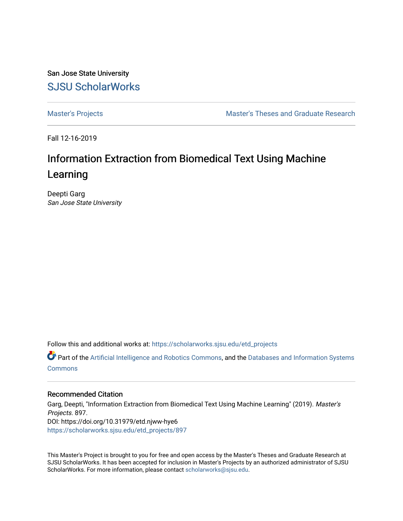San Jose State University [SJSU ScholarWorks](https://scholarworks.sjsu.edu/) 

[Master's Projects](https://scholarworks.sjsu.edu/etd_projects) [Master's Theses and Graduate Research](https://scholarworks.sjsu.edu/etd) 

Fall 12-16-2019

# Information Extraction from Biomedical Text Using Machine Learning

Deepti Garg San Jose State University

Follow this and additional works at: [https://scholarworks.sjsu.edu/etd\\_projects](https://scholarworks.sjsu.edu/etd_projects?utm_source=scholarworks.sjsu.edu%2Fetd_projects%2F897&utm_medium=PDF&utm_campaign=PDFCoverPages) 

Part of the [Artificial Intelligence and Robotics Commons](http://network.bepress.com/hgg/discipline/143?utm_source=scholarworks.sjsu.edu%2Fetd_projects%2F897&utm_medium=PDF&utm_campaign=PDFCoverPages), and the Databases and Information Systems **[Commons](http://network.bepress.com/hgg/discipline/145?utm_source=scholarworks.sjsu.edu%2Fetd_projects%2F897&utm_medium=PDF&utm_campaign=PDFCoverPages)** 

# Recommended Citation

Garg, Deepti, "Information Extraction from Biomedical Text Using Machine Learning" (2019). Master's Projects. 897. DOI: https://doi.org/10.31979/etd.njww-hye6 [https://scholarworks.sjsu.edu/etd\\_projects/897](https://scholarworks.sjsu.edu/etd_projects/897?utm_source=scholarworks.sjsu.edu%2Fetd_projects%2F897&utm_medium=PDF&utm_campaign=PDFCoverPages) 

This Master's Project is brought to you for free and open access by the Master's Theses and Graduate Research at SJSU ScholarWorks. It has been accepted for inclusion in Master's Projects by an authorized administrator of SJSU ScholarWorks. For more information, please contact [scholarworks@sjsu.edu](mailto:scholarworks@sjsu.edu).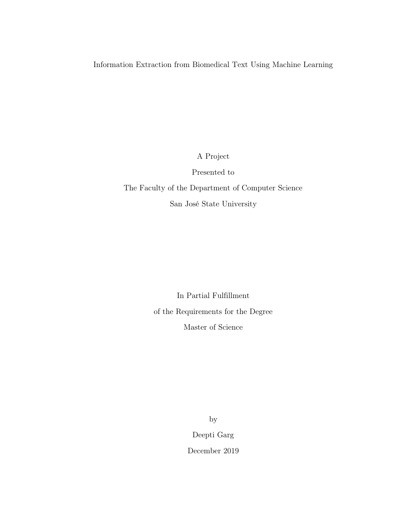Information Extraction from Biomedical Text Using Machine Learning

A Project

Presented to

The Faculty of the Department of Computer Science San José State University

> In Partial Fulfillment of the Requirements for the Degree Master of Science

> > by Deepti Garg

December 2019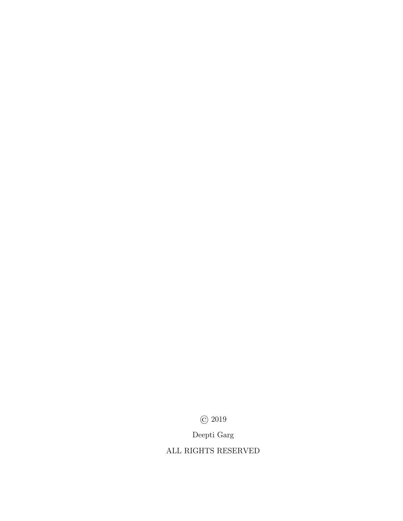© 2019

Deepti Garg

ALL RIGHTS RESERVED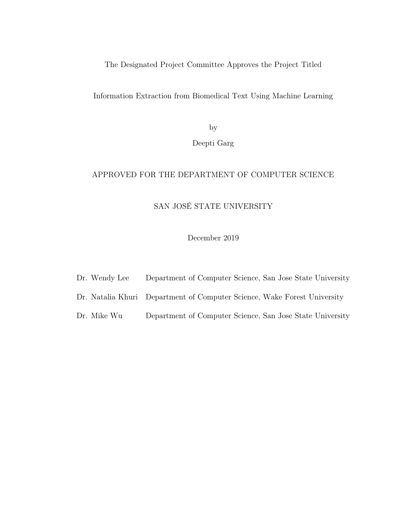The Designated Project Committee Approves the Project Titled

Information Extraction from Biomedical Text Using Machine Learning

by

Deepti Garg

# APPROVED FOR THE DEPARTMENT OF COMPUTER SCIENCE

# SAN JOSÉ STATE UNIVERSITY

December 2019

- Dr. Wendy Lee Department of Computer Science, San Jose State University
- Dr. Natalia Khuri Department of Computer Science, Wake Forest University
- Dr. Mike Wu Department of Computer Science, San Jose State University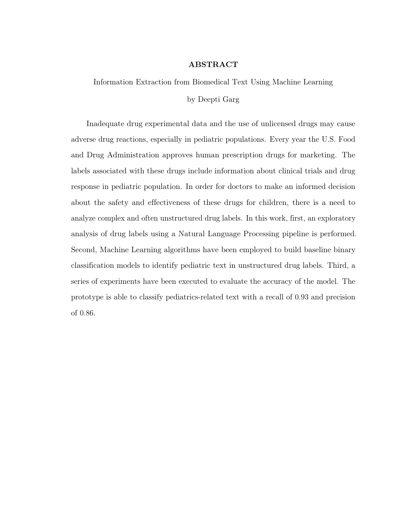# ABSTRACT

Information Extraction from Biomedical Text Using Machine Learning

### by Deepti Garg

Inadequate drug experimental data and the use of unlicensed drugs may cause adverse drug reactions, especially in pediatric populations. Every year the U.S. Food and Drug Administration approves human prescription drugs for marketing. The labels associated with these drugs include information about clinical trials and drug response in pediatric population. In order for doctors to make an informed decision about the safety and effectiveness of these drugs for children, there is a need to analyze complex and often unstructured drug labels. In this work, first, an exploratory analysis of drug labels using a Natural Language Processing pipeline is performed. Second, Machine Learning algorithms have been employed to build baseline binary classification models to identify pediatric text in unstructured drug labels. Third, a series of experiments have been executed to evaluate the accuracy of the model. The prototype is able to classify pediatrics-related text with a recall of 0.93 and precision of 0.86.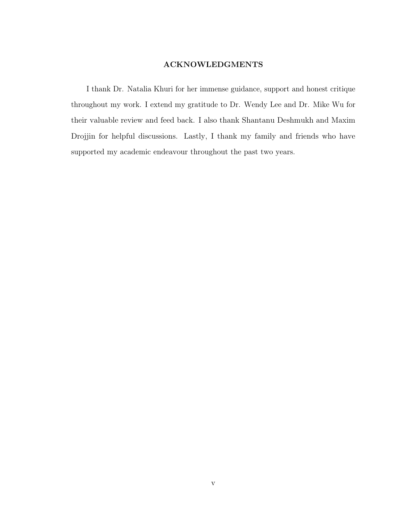# ACKNOWLEDGMENTS

I thank Dr. Natalia Khuri for her immense guidance, support and honest critique throughout my work. I extend my gratitude to Dr. Wendy Lee and Dr. Mike Wu for their valuable review and feed back. I also thank Shantanu Deshmukh and Maxim Drojjin for helpful discussions. Lastly, I thank my family and friends who have supported my academic endeavour throughout the past two years.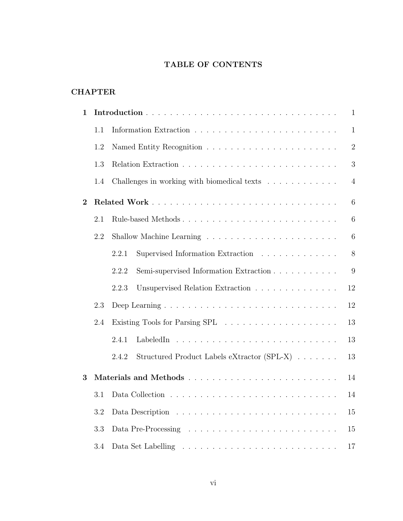# TABLE OF CONTENTS

# **CHAPTER**

| 1        |     | $\mathbf{1}$                                                  |  |  |  |  |  |  |  |  |  |  |
|----------|-----|---------------------------------------------------------------|--|--|--|--|--|--|--|--|--|--|
|          | 1.1 | $\mathbf{1}$                                                  |  |  |  |  |  |  |  |  |  |  |
|          | 1.2 | $\overline{2}$                                                |  |  |  |  |  |  |  |  |  |  |
|          | 1.3 |                                                               |  |  |  |  |  |  |  |  |  |  |
|          | 1.4 | Challenges in working with biomedical texts<br>$\overline{4}$ |  |  |  |  |  |  |  |  |  |  |
| $\bf{2}$ |     | 6                                                             |  |  |  |  |  |  |  |  |  |  |
|          | 2.1 | Rule-based Methods<br>6                                       |  |  |  |  |  |  |  |  |  |  |
|          | 2.2 | 6                                                             |  |  |  |  |  |  |  |  |  |  |
|          |     | 8<br>Supervised Information Extraction<br>2.2.1               |  |  |  |  |  |  |  |  |  |  |
|          |     | Semi-supervised Information Extraction<br>2.2.2<br>9          |  |  |  |  |  |  |  |  |  |  |
|          |     | Unsupervised Relation Extraction<br>12<br>2.2.3               |  |  |  |  |  |  |  |  |  |  |
|          | 2.3 | 12                                                            |  |  |  |  |  |  |  |  |  |  |
|          | 2.4 | 13                                                            |  |  |  |  |  |  |  |  |  |  |
|          |     | 2.4.1<br>LabeledIn<br>13                                      |  |  |  |  |  |  |  |  |  |  |
|          |     | Structured Product Labels eXtractor (SPL-X)<br>2.4.2<br>13    |  |  |  |  |  |  |  |  |  |  |
| 3        |     | 14                                                            |  |  |  |  |  |  |  |  |  |  |
|          | 3.1 | 14                                                            |  |  |  |  |  |  |  |  |  |  |
|          | 3.2 | 15                                                            |  |  |  |  |  |  |  |  |  |  |
|          | 3.3 | 15                                                            |  |  |  |  |  |  |  |  |  |  |
|          | 3.4 | 17                                                            |  |  |  |  |  |  |  |  |  |  |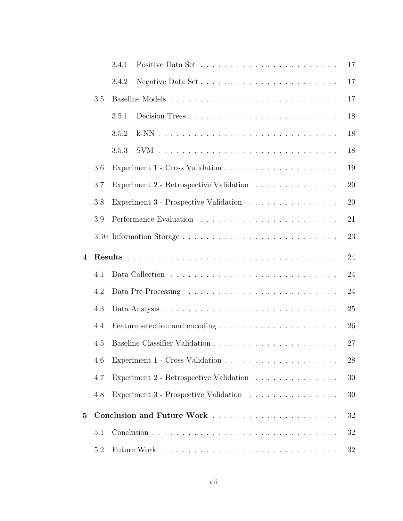|          |     | 3.4.1<br>17                                   |
|----------|-----|-----------------------------------------------|
|          |     | Negative Data Set<br>17<br>3.4.2              |
|          | 3.5 | 17                                            |
|          |     | 18<br>Decision Trees<br>3.5.1                 |
|          |     | 18<br>3.5.2                                   |
|          |     | 18<br>3.5.3                                   |
|          | 3.6 | 19                                            |
|          | 3.7 | Experiment 2 - Retrospective Validation<br>20 |
|          | 3.8 | Experiment 3 - Prospective Validation<br>20   |
|          | 3.9 | 21                                            |
|          |     | 3.10 Information Storage<br>23                |
| 4        |     | 24                                            |
|          | 4.1 | 24                                            |
|          | 4.2 | 24                                            |
|          | 4.3 | 25                                            |
|          | 4.4 | 26                                            |
|          | 4.5 | 27                                            |
|          | 4.6 | 28                                            |
|          | 4.7 | Experiment 2 - Retrospective Validation<br>30 |
|          | 4.8 | Experiment 3 - Prospective Validation<br>30   |
| $\bf{5}$ |     | 32                                            |
|          | 5.1 | 32                                            |
|          | 5.2 | 32                                            |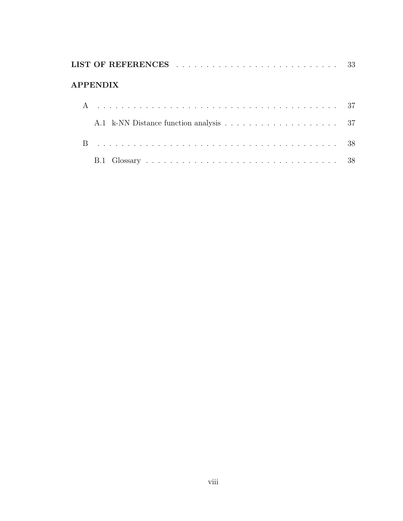| <b>APPENDIX</b> |  |
|-----------------|--|
|                 |  |
|                 |  |
|                 |  |
|                 |  |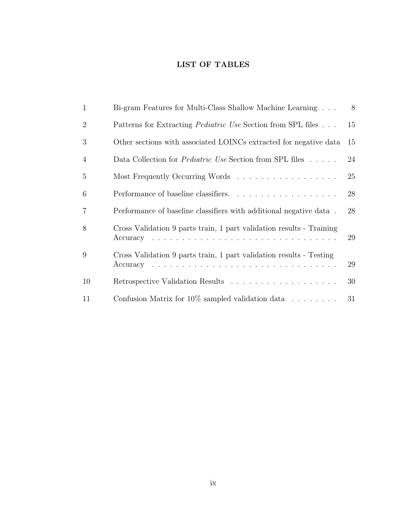# LIST OF TABLES

| $\mathbf{1}$   | Bi-gram Features for Multi-Class Shallow Machine Learning            | 8  |
|----------------|----------------------------------------------------------------------|----|
| $\overline{2}$ | Patterns for Extracting <i>Pediatric Use</i> Section from SPL files  | 15 |
| 3              | Other sections with associated LOINCs extracted for negative data    | 15 |
| $\overline{4}$ | Data Collection for <i>Pediatric Use</i> Section from SPL files      | 24 |
| 5              | Most Frequently Occurring Words                                      | 25 |
| 6              |                                                                      | 28 |
| $\overline{7}$ | Performance of baseline classifiers with additional negative data.   | 28 |
| 8              | Cross Validation 9 parts train, 1 part validation results - Training | 29 |
| 9              | Cross Validation 9 parts train, 1 part validation results - Testing  | 29 |
| 10             |                                                                      | 30 |
| 11             | Confusion Matrix for $10\%$ sampled validation data $\dots \dots$    | 31 |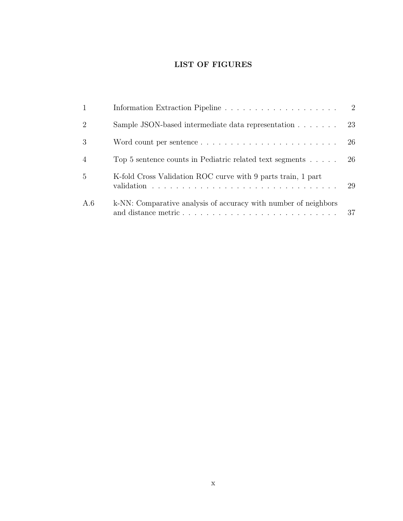# LIST OF FIGURES

| $\mathbf{1}$   |                                                                                                                                      |    |
|----------------|--------------------------------------------------------------------------------------------------------------------------------------|----|
| $\overline{2}$ | Sample JSON-based intermediate data representation                                                                                   | 23 |
| 3              | Word count per sentence $\dots \dots \dots \dots \dots \dots \dots \dots$                                                            | 26 |
| $\overline{4}$ | Top 5 sentence counts in Pediatric related text segments $\dots$                                                                     | 26 |
| 5              | K-fold Cross Validation ROC curve with 9 parts train, 1 part<br>validation $\ldots \ldots \ldots \ldots \ldots \ldots \ldots \ldots$ | 29 |
| A.6            | k-NN: Comparative analysis of accuracy with number of neighbors                                                                      | 37 |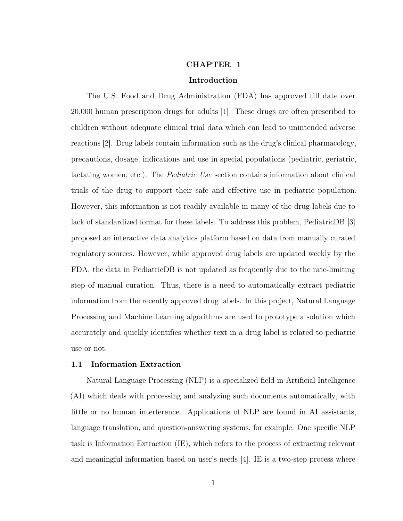### CHAPTER 1

### Introduction

<span id="page-11-0"></span>The U.S. Food and Drug Administration (FDA) has approved till date over 20,000 human prescription drugs for adults [\[1\]](#page-43-1). These drugs are often prescribed to children without adequate clinical trial data which can lead to unintended adverse reactions [\[2\]](#page-43-2). Drug labels contain information such as the drug's clinical pharmacology, precautions, dosage, indications and use in special populations (pediatric, geriatric, lactating women, etc.). The Pediatric Use section contains information about clinical trials of the drug to support their safe and effective use in pediatric population. However, this information is not readily available in many of the drug labels due to lack of standardized format for these labels. To address this problem, PediatricDB [\[3\]](#page-43-3) proposed an interactive data analytics platform based on data from manually curated regulatory sources. However, while approved drug labels are updated weekly by the FDA, the data in PediatricDB is not updated as frequently due to the rate-limiting step of manual curation. Thus, there is a need to automatically extract pediatric information from the recently approved drug labels. In this project, Natural Language Processing and Machine Learning algorithms are used to prototype a solution which accurately and quickly identifies whether text in a drug label is related to pediatric use or not.

#### <span id="page-11-1"></span>1.1 Information Extraction

Natural Language Processing (NLP) is a specialized field in Artificial Intelligence (AI) which deals with processing and analyzing such documents automatically, with little or no human interference. Applications of NLP are found in AI assistants, language translation, and question-answering systems, for example. One specific NLP task is Information Extraction (IE), which refers to the process of extracting relevant and meaningful information based on user's needs [\[4\]](#page-43-4). IE is a two-step process where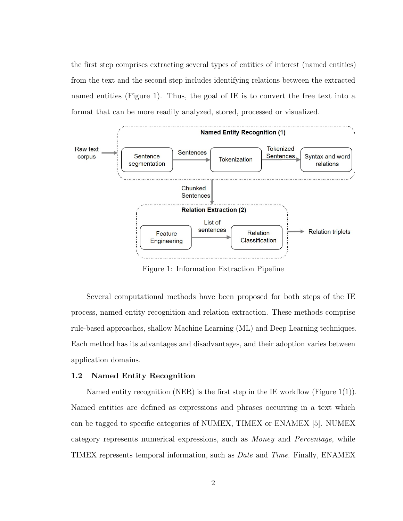the first step comprises extracting several types of entities of interest (named entities) from the text and the second step includes identifying relations between the extracted named entities (Figure [1\)](#page-12-1). Thus, the goal of IE is to convert the free text into a format that can be more readily analyzed, stored, processed or visualized.

<span id="page-12-1"></span>

Figure 1: Information Extraction Pipeline

Several computational methods have been proposed for both steps of the IE process, named entity recognition and relation extraction. These methods comprise rule-based approaches, shallow Machine Learning (ML) and Deep Learning techniques. Each method has its advantages and disadvantages, and their adoption varies between application domains.

# <span id="page-12-0"></span>1.2 Named Entity Recognition

Named entity recognition (NER) is the first step in the IE workflow (Figure [1\(](#page-12-1)1)). Named entities are defined as expressions and phrases occurring in a text which can be tagged to specific categories of NUMEX, TIMEX or ENAMEX [\[5\]](#page-43-5). NUMEX category represents numerical expressions, such as Money and Percentage, while TIMEX represents temporal information, such as Date and Time. Finally, ENAMEX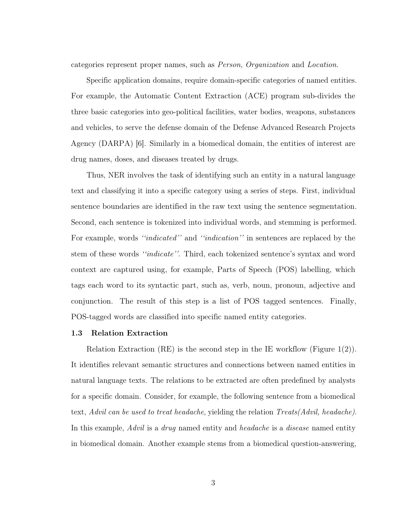categories represent proper names, such as Person, Organization and Location.

Specific application domains, require domain-specific categories of named entities. For example, the Automatic Content Extraction (ACE) program sub-divides the three basic categories into geo-political facilities, water bodies, weapons, substances and vehicles, to serve the defense domain of the Defense Advanced Research Projects Agency (DARPA) [\[6\]](#page-43-6). Similarly in a biomedical domain, the entities of interest are drug names, doses, and diseases treated by drugs.

Thus, NER involves the task of identifying such an entity in a natural language text and classifying it into a specific category using a series of steps. First, individual sentence boundaries are identified in the raw text using the sentence segmentation. Second, each sentence is tokenized into individual words, and stemming is performed. For example, words "indicated" and "indication" in sentences are replaced by the stem of these words ''indicate''. Third, each tokenized sentence's syntax and word context are captured using, for example, Parts of Speech (POS) labelling, which tags each word to its syntactic part, such as, verb, noun, pronoun, adjective and conjunction. The result of this step is a list of POS tagged sentences. Finally, POS-tagged words are classified into specific named entity categories.

#### <span id="page-13-0"></span>1.3 Relation Extraction

Relation Extraction (RE) is the second step in the IE workflow (Figure [1\(](#page-12-1)2)). It identifies relevant semantic structures and connections between named entities in natural language texts. The relations to be extracted are often predefined by analysts for a specific domain. Consider, for example, the following sentence from a biomedical text, Advil can be used to treat headache, yielding the relation Treats(Advil, headache). In this example, *Advil* is a *drug* named entity and *headache* is a *disease* named entity in biomedical domain. Another example stems from a biomedical question-answering,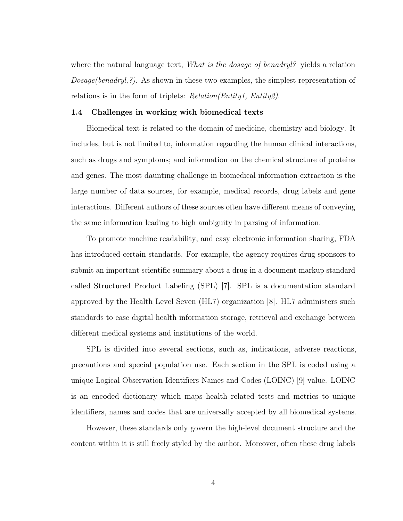where the natural language text, What is the dosage of benadryl? yields a relation  $Dosage(benadryl, ?)$ . As shown in these two examples, the simplest representation of relations is in the form of triplets: *Relation(Entity1, Entity2)*.

#### <span id="page-14-0"></span>1.4 Challenges in working with biomedical texts

Biomedical text is related to the domain of medicine, chemistry and biology. It includes, but is not limited to, information regarding the human clinical interactions, such as drugs and symptoms; and information on the chemical structure of proteins and genes. The most daunting challenge in biomedical information extraction is the large number of data sources, for example, medical records, drug labels and gene interactions. Different authors of these sources often have different means of conveying the same information leading to high ambiguity in parsing of information.

To promote machine readability, and easy electronic information sharing, FDA has introduced certain standards. For example, the agency requires drug sponsors to submit an important scientific summary about a drug in a document markup standard called Structured Product Labeling (SPL) [\[7\]](#page-43-7). SPL is a documentation standard approved by the Health Level Seven (HL7) organization [\[8\]](#page-43-8). HL7 administers such standards to ease digital health information storage, retrieval and exchange between different medical systems and institutions of the world.

SPL is divided into several sections, such as, indications, adverse reactions, precautions and special population use. Each section in the SPL is coded using a unique Logical Observation Identifiers Names and Codes (LOINC) [\[9\]](#page-43-9) value. LOINC is an encoded dictionary which maps health related tests and metrics to unique identifiers, names and codes that are universally accepted by all biomedical systems.

However, these standards only govern the high-level document structure and the content within it is still freely styled by the author. Moreover, often these drug labels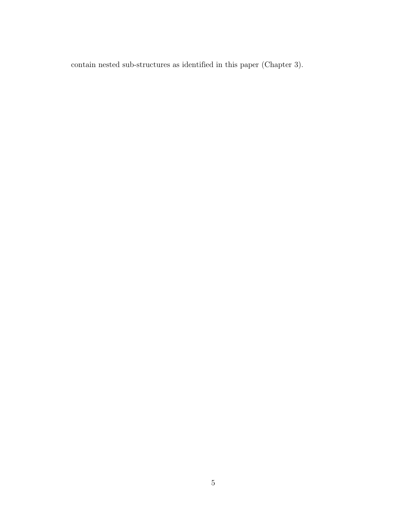contain nested sub-structures as identified in this paper (Chapter [3\)](#page-24-0).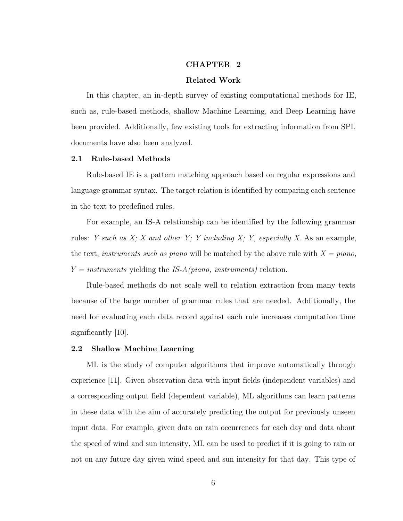#### CHAPTER 2

### Related Work

<span id="page-16-0"></span>In this chapter, an in-depth survey of existing computational methods for IE, such as, rule-based methods, shallow Machine Learning, and Deep Learning have been provided. Additionally, few existing tools for extracting information from SPL documents have also been analyzed.

# <span id="page-16-1"></span>2.1 Rule-based Methods

Rule-based IE is a pattern matching approach based on regular expressions and language grammar syntax. The target relation is identified by comparing each sentence in the text to predefined rules.

For example, an IS-A relationship can be identified by the following grammar rules: Y such as  $X$ ; X and other Y; Y including  $X$ ; Y, especially X. As an example, the text, instruments such as piano will be matched by the above rule with  $X = piano$ ,  $Y = instruments$  yielding the IS-A(piano, instruments) relation.

Rule-based methods do not scale well to relation extraction from many texts because of the large number of grammar rules that are needed. Additionally, the need for evaluating each data record against each rule increases computation time significantly [\[10\]](#page-43-10).

#### <span id="page-16-2"></span>2.2 Shallow Machine Learning

ML is the study of computer algorithms that improve automatically through experience [\[11\]](#page-43-11). Given observation data with input fields (independent variables) and a corresponding output field (dependent variable), ML algorithms can learn patterns in these data with the aim of accurately predicting the output for previously unseen input data. For example, given data on rain occurrences for each day and data about the speed of wind and sun intensity, ML can be used to predict if it is going to rain or not on any future day given wind speed and sun intensity for that day. This type of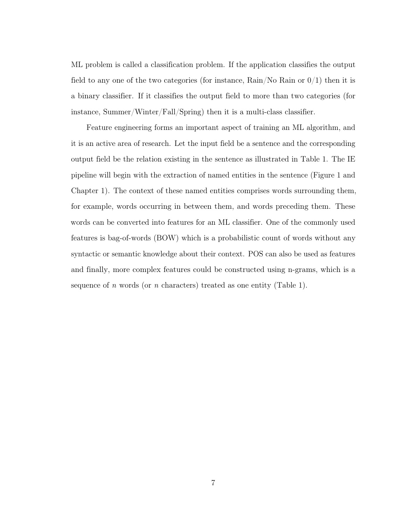ML problem is called a classification problem. If the application classifies the output field to any one of the two categories (for instance,  $Rain/No Rain$  or  $0/1)$ ) then it is a binary classifier. If it classifies the output field to more than two categories (for instance, Summer/Winter/Fall/Spring) then it is a multi-class classifier.

Feature engineering forms an important aspect of training an ML algorithm, and it is an active area of research. Let the input field be a sentence and the corresponding output field be the relation existing in the sentence as illustrated in Table [1.](#page-18-1) The IE pipeline will begin with the extraction of named entities in the sentence (Figure [1](#page-12-1) and Chapter [1\)](#page-11-0). The context of these named entities comprises words surrounding them, for example, words occurring in between them, and words preceding them. These words can be converted into features for an ML classifier. One of the commonly used features is bag-of-words (BOW) which is a probabilistic count of words without any syntactic or semantic knowledge about their context. POS can also be used as features and finally, more complex features could be constructed using n-grams, which is a sequence of n words (or n characters) treated as one entity (Table [1\)](#page-18-1).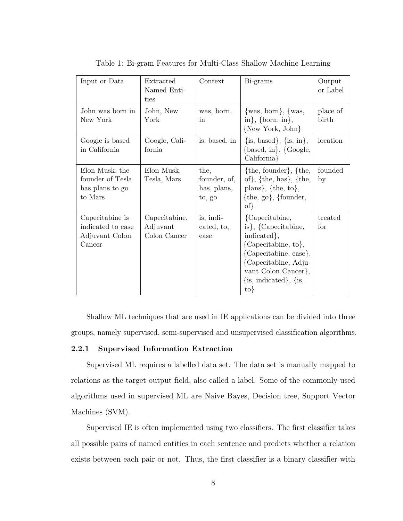<span id="page-18-1"></span>

| Input or Data                                                    | Extracted<br>Named Enti-<br>ties          | Context                                       | Bi-grams                                                                                                                                                                                               | Output<br>or Label |
|------------------------------------------------------------------|-------------------------------------------|-----------------------------------------------|--------------------------------------------------------------------------------------------------------------------------------------------------------------------------------------------------------|--------------------|
| John was born in<br>New York                                     | John, New<br>York                         | was, born,<br>in                              | $\{was, born\}, \{was,$<br>in}, $\{born, in\}$ ,<br>{New York, John}                                                                                                                                   | place of<br>birth  |
| Google is based<br>in California                                 | Google, Cali-<br>fornia                   | is, based, in                                 | $\{is, based\}, \{is, in\},\$<br>$\{based, in\}, \{Google,$<br>California}                                                                                                                             | location           |
| Elon Musk, the<br>founder of Tesla<br>has plans to go<br>to Mars | Elon Musk,<br>Tesla, Mars                 | the,<br>founder, of,<br>has, plans,<br>to, go | $\{the, founder\}, \{the,$<br>of, $\{the, has\}$ , $\{the,$<br>plans}, $\{the, to\}$ ,<br>$\{the, go\}, \{founder,$<br>$\{of\}$                                                                        | founded<br>by      |
| Capecitabine is<br>indicated to ease<br>Adjuvant Colon<br>Cancer | Capecitabine,<br>Adjuvant<br>Colon Cancer | is, indi-<br>cated, to,<br>ease               | {Capecitabine,<br>is, ${Capecitable}$ ,<br>indicated,<br>{Capecitabine, to},<br>{Capecitabine, ease},<br>{Capecitabine, Adju-<br>vant Colon Cancer,<br>$\{is, indicated\}, \{is,$<br>$\{\mathrm{to}\}$ | treated<br>for     |

Table 1: Bi-gram Features for Multi-Class Shallow Machine Learning

Shallow ML techniques that are used in IE applications can be divided into three groups, namely supervised, semi-supervised and unsupervised classification algorithms.

## <span id="page-18-0"></span>2.2.1 Supervised Information Extraction

Supervised ML requires a labelled data set. The data set is manually mapped to relations as the target output field, also called a label. Some of the commonly used algorithms used in supervised ML are Naive Bayes, Decision tree, Support Vector Machines (SVM).

Supervised IE is often implemented using two classifiers. The first classifier takes all possible pairs of named entities in each sentence and predicts whether a relation exists between each pair or not. Thus, the first classifier is a binary classifier with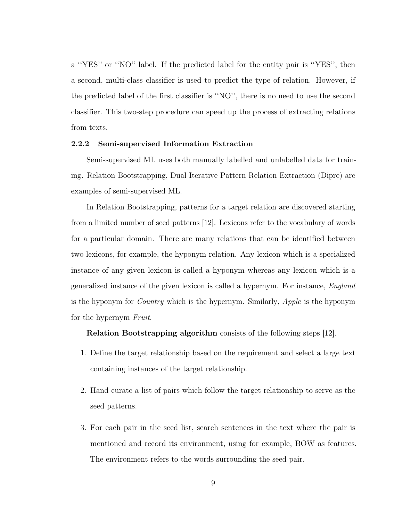a ''YES'' or ''NO'' label. If the predicted label for the entity pair is ''YES'', then a second, multi-class classifier is used to predict the type of relation. However, if the predicted label of the first classifier is ''NO'', there is no need to use the second classifier. This two-step procedure can speed up the process of extracting relations from texts.

#### <span id="page-19-0"></span>2.2.2 Semi-supervised Information Extraction

Semi-supervised ML uses both manually labelled and unlabelled data for training. Relation Bootstrapping, Dual Iterative Pattern Relation Extraction (Dipre) are examples of semi-supervised ML.

In Relation Bootstrapping, patterns for a target relation are discovered starting from a limited number of seed patterns [\[12\]](#page-43-12). Lexicons refer to the vocabulary of words for a particular domain. There are many relations that can be identified between two lexicons, for example, the hyponym relation. Any lexicon which is a specialized instance of any given lexicon is called a hyponym whereas any lexicon which is a generalized instance of the given lexicon is called a hypernym. For instance, England is the hyponym for Country which is the hypernym. Similarly, Apple is the hyponym for the hypernym Fruit.

### Relation Bootstrapping algorithm consists of the following steps [\[12\]](#page-43-12).

- 1. Define the target relationship based on the requirement and select a large text containing instances of the target relationship.
- 2. Hand curate a list of pairs which follow the target relationship to serve as the seed patterns.
- 3. For each pair in the seed list, search sentences in the text where the pair is mentioned and record its environment, using for example, BOW as features. The environment refers to the words surrounding the seed pair.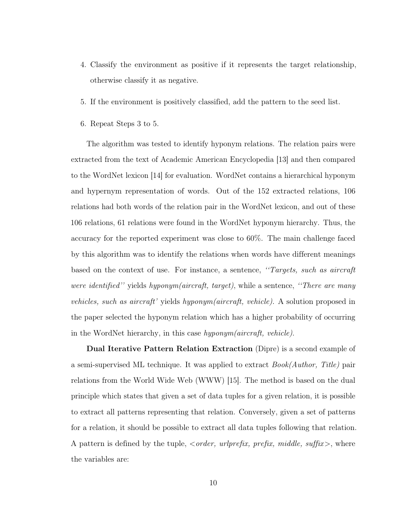- 4. Classify the environment as positive if it represents the target relationship, otherwise classify it as negative.
- 5. If the environment is positively classified, add the pattern to the seed list.
- 6. Repeat Steps 3 to 5.

The algorithm was tested to identify hyponym relations. The relation pairs were extracted from the text of Academic American Encyclopedia [\[13\]](#page-44-0) and then compared to the WordNet lexicon [\[14\]](#page-44-1) for evaluation. WordNet contains a hierarchical hyponym and hypernym representation of words. Out of the 152 extracted relations, 106 relations had both words of the relation pair in the WordNet lexicon, and out of these 106 relations, 61 relations were found in the WordNet hyponym hierarchy. Thus, the accuracy for the reported experiment was close to 60%. The main challenge faced by this algorithm was to identify the relations when words have different meanings based on the context of use. For instance, a sentence, ''Targets, such as aircraft were identified'' yields hyponym(aircraft, target), while a sentence, "There are many vehicles, such as aircraft' yields hyponym(aircraft, vehicle). A solution proposed in the paper selected the hyponym relation which has a higher probability of occurring in the WordNet hierarchy, in this case hyponym(aircraft, vehicle).

Dual Iterative Pattern Relation Extraction (Dipre) is a second example of a semi-supervised ML technique. It was applied to extract Book(Author, Title) pair relations from the World Wide Web (WWW) [\[15\]](#page-44-2). The method is based on the dual principle which states that given a set of data tuples for a given relation, it is possible to extract all patterns representing that relation. Conversely, given a set of patterns for a relation, it should be possible to extract all data tuples following that relation. A pattern is defined by the tuple,  $\langle \text{order}, \text{urlprefix}, \text{prefix}, \text{middle}, \text{suffix} \rangle$ , where the variables are: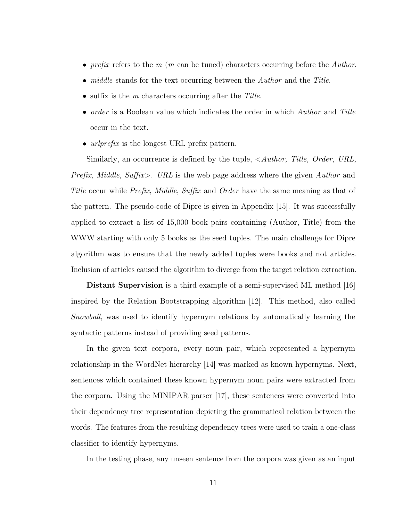- prefix refers to the  $m$  ( $m$  can be tuned) characters occurring before the Author.
- *middle* stands for the text occurring between the *Author* and the *Title*.
- suffix is the  $m$  characters occurring after the Title.
- order is a Boolean value which indicates the order in which Author and Title occur in the text.
- *urlprefix* is the longest URL prefix pattern.

Similarly, an occurrence is defined by the tuple, <Author, Title, Order, URL, *Prefix, Middle, Suffix>. URL* is the web page address where the given  $Author$  and Title occur while *Prefix, Middle, Suffix* and *Order* have the same meaning as that of the pattern. The pseudo-code of Dipre is given in Appendix [\[15\]](#page-44-2). It was successfully applied to extract a list of 15,000 book pairs containing (Author, Title) from the WWW starting with only 5 books as the seed tuples. The main challenge for Dipre algorithm was to ensure that the newly added tuples were books and not articles. Inclusion of articles caused the algorithm to diverge from the target relation extraction.

Distant Supervision is a third example of a semi-supervised ML method [\[16\]](#page-44-3) inspired by the Relation Bootstrapping algorithm [\[12\]](#page-43-12). This method, also called Snowball, was used to identify hypernym relations by automatically learning the syntactic patterns instead of providing seed patterns.

In the given text corpora, every noun pair, which represented a hypernym relationship in the WordNet hierarchy [\[14\]](#page-44-1) was marked as known hypernyms. Next, sentences which contained these known hypernym noun pairs were extracted from the corpora. Using the MINIPAR parser [\[17\]](#page-44-4), these sentences were converted into their dependency tree representation depicting the grammatical relation between the words. The features from the resulting dependency trees were used to train a one-class classifier to identify hypernyms.

In the testing phase, any unseen sentence from the corpora was given as an input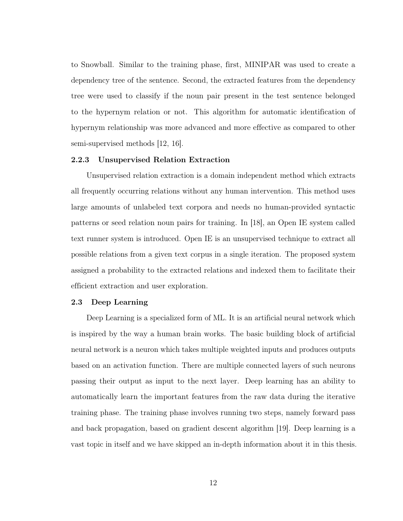to Snowball. Similar to the training phase, first, MINIPAR was used to create a dependency tree of the sentence. Second, the extracted features from the dependency tree were used to classify if the noun pair present in the test sentence belonged to the hypernym relation or not. This algorithm for automatic identification of hypernym relationship was more advanced and more effective as compared to other semi-supervised methods [\[12,](#page-43-12) [16\]](#page-44-3).

#### <span id="page-22-0"></span>2.2.3 Unsupervised Relation Extraction

Unsupervised relation extraction is a domain independent method which extracts all frequently occurring relations without any human intervention. This method uses large amounts of unlabeled text corpora and needs no human-provided syntactic patterns or seed relation noun pairs for training. In [\[18\]](#page-44-5), an Open IE system called text runner system is introduced. Open IE is an unsupervised technique to extract all possible relations from a given text corpus in a single iteration. The proposed system assigned a probability to the extracted relations and indexed them to facilitate their efficient extraction and user exploration.

#### <span id="page-22-1"></span>2.3 Deep Learning

Deep Learning is a specialized form of ML. It is an artificial neural network which is inspired by the way a human brain works. The basic building block of artificial neural network is a neuron which takes multiple weighted inputs and produces outputs based on an activation function. There are multiple connected layers of such neurons passing their output as input to the next layer. Deep learning has an ability to automatically learn the important features from the raw data during the iterative training phase. The training phase involves running two steps, namely forward pass and back propagation, based on gradient descent algorithm [\[19\]](#page-44-6). Deep learning is a vast topic in itself and we have skipped an in-depth information about it in this thesis.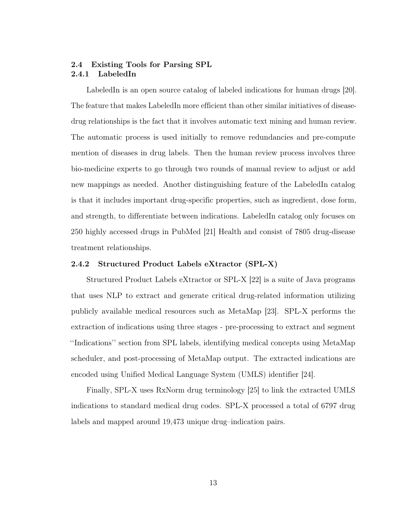# <span id="page-23-1"></span><span id="page-23-0"></span>2.4 Existing Tools for Parsing SPL 2.4.1 LabeledIn

LabeledIn is an open source catalog of labeled indications for human drugs [\[20\]](#page-44-7). The feature that makes LabeledIn more efficient than other similar initiatives of diseasedrug relationships is the fact that it involves automatic text mining and human review. The automatic process is used initially to remove redundancies and pre-compute mention of diseases in drug labels. Then the human review process involves three bio-medicine experts to go through two rounds of manual review to adjust or add new mappings as needed. Another distinguishing feature of the LabeledIn catalog is that it includes important drug-specific properties, such as ingredient, dose form, and strength, to differentiate between indications. LabeledIn catalog only focuses on 250 highly accessed drugs in PubMed [\[21\]](#page-44-8) Health and consist of 7805 drug-disease treatment relationships.

# <span id="page-23-2"></span>2.4.2 Structured Product Labels eXtractor (SPL-X)

Structured Product Labels eXtractor or SPL-X [\[22\]](#page-44-9) is a suite of Java programs that uses NLP to extract and generate critical drug-related information utilizing publicly available medical resources such as MetaMap [\[23\]](#page-44-10). SPL-X performs the extraction of indications using three stages - pre-processing to extract and segment ''Indications'' section from SPL labels, identifying medical concepts using MetaMap scheduler, and post-processing of MetaMap output. The extracted indications are encoded using Unified Medical Language System (UMLS) identifier [\[24\]](#page-44-11).

Finally, SPL-X uses RxNorm drug terminology [\[25\]](#page-45-0) to link the extracted UMLS indications to standard medical drug codes. SPL-X processed a total of 6797 drug labels and mapped around 19,473 unique drug–indication pairs.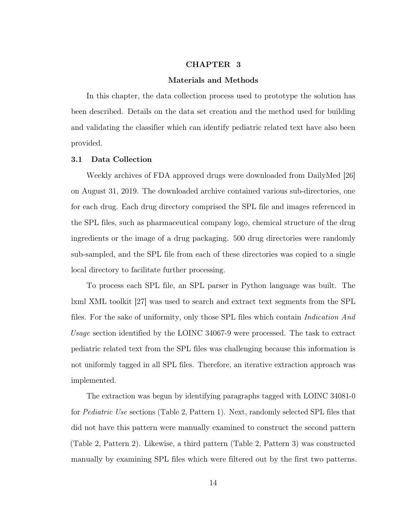# CHAPTER 3

#### Materials and Methods

<span id="page-24-0"></span>In this chapter, the data collection process used to prototype the solution has been described. Details on the data set creation and the method used for building and validating the classifier which can identify pediatric related text have also been provided.

#### <span id="page-24-1"></span>3.1 Data Collection

Weekly archives of FDA approved drugs were downloaded from DailyMed [\[26\]](#page-45-1) on August 31, 2019. The downloaded archive contained various sub-directories, one for each drug. Each drug directory comprised the SPL file and images referenced in the SPL files, such as pharmaceutical company logo, chemical structure of the drug ingredients or the image of a drug packaging. 500 drug directories were randomly sub-sampled, and the SPL file from each of these directories was copied to a single local directory to facilitate further processing.

To process each SPL file, an SPL parser in Python language was built. The lxml XML toolkit [\[27\]](#page-45-2) was used to search and extract text segments from the SPL files. For the sake of uniformity, only those SPL files which contain Indication And Usage section identified by the LOINC 34067-9 were processed. The task to extract pediatric related text from the SPL files was challenging because this information is not uniformly tagged in all SPL files. Therefore, an iterative extraction approach was implemented.

The extraction was begun by identifying paragraphs tagged with LOINC 34081-0 for Pediatric Use sections (Table [2,](#page-25-2) Pattern 1). Next, randomly selected SPL files that did not have this pattern were manually examined to construct the second pattern (Table [2,](#page-25-2) Pattern 2). Likewise, a third pattern (Table [2,](#page-25-2) Pattern 3) was constructed manually by examining SPL files which were filtered out by the first two patterns.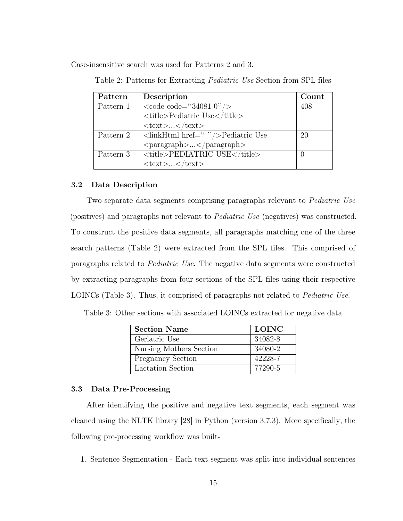<span id="page-25-2"></span>Case-insensitive search was used for Patterns 2 and 3.

| Pattern   | Description                                                    | Count |  |  |  |  |
|-----------|----------------------------------------------------------------|-------|--|--|--|--|
| Pattern 1 | $\langle \text{code code} = \text{``}34081-0 \text{''}\rangle$ | 408   |  |  |  |  |
|           | <title>Pediatric Use</title>                                   |       |  |  |  |  |
|           | $<$ text> $<$ /text>                                           |       |  |  |  |  |
| Pattern 2 | $\langle$ linkHtml href=" $\langle$ "/>Pediatric Use           | 20    |  |  |  |  |
|           | $\langle \text{paramph}\rangle\langle \text{paramph}\rangle$   |       |  |  |  |  |
| Pattern 3 | $<$ title>PEDIATRIC USE                                        |       |  |  |  |  |
|           | $<$ text>                                                      |       |  |  |  |  |

Table 2: Patterns for Extracting Pediatric Use Section from SPL files

#### <span id="page-25-0"></span>3.2 Data Description

Two separate data segments comprising paragraphs relevant to Pediatric Use (positives) and paragraphs not relevant to Pediatric Use (negatives) was constructed. To construct the positive data segments, all paragraphs matching one of the three search patterns (Table [2\)](#page-25-2) were extracted from the SPL files. This comprised of paragraphs related to Pediatric Use. The negative data segments were constructed by extracting paragraphs from four sections of the SPL files using their respective LOINCs (Table [3\)](#page-25-3). Thus, it comprised of paragraphs not related to *Pediatric Use*.

<span id="page-25-3"></span>Table 3: Other sections with associated LOINCs extracted for negative data

| <b>Section Name</b>      | <b>LOINC</b> |
|--------------------------|--------------|
| Geriatric Use            | 34082-8      |
| Nursing Mothers Section  | 34080-2      |
| <b>Pregnancy Section</b> | 42228-7      |
| Lactation Section        | 77290-5      |

### <span id="page-25-1"></span>3.3 Data Pre-Processing

After identifying the positive and negative text segments, each segment was cleaned using the NLTK library [\[28\]](#page-45-3) in Python (version 3.7.3). More specifically, the following pre-processing workflow was built-

1. Sentence Segmentation - Each text segment was split into individual sentences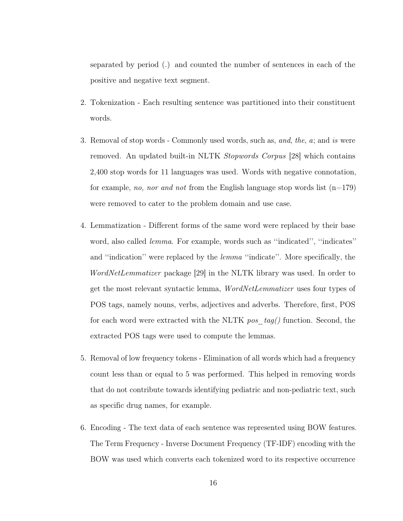separated by period (.) and counted the number of sentences in each of the positive and negative text segment.

- 2. Tokenization Each resulting sentence was partitioned into their constituent words.
- 3. Removal of stop words Commonly used words, such as, and, the, a; and is were removed. An updated built-in NLTK Stopwords Corpus [\[28\]](#page-45-3) which contains 2,400 stop words for 11 languages was used. Words with negative connotation, for example, no, nor and not from the English language stop words list  $(n=179)$ were removed to cater to the problem domain and use case.
- 4. Lemmatization Different forms of the same word were replaced by their base word, also called lemma. For example, words such as ''indicated'', ''indicates'' and "indication" were replaced by the *lemma* "indicate". More specifically, the WordNetLemmatizer package [\[29\]](#page-45-4) in the NLTK library was used. In order to get the most relevant syntactic lemma, WordNetLemmatizer uses four types of POS tags, namely nouns, verbs, adjectives and adverbs. Therefore, first, POS for each word were extracted with the NLTK pos  $tag()$  function. Second, the extracted POS tags were used to compute the lemmas.
- 5. Removal of low frequency tokens Elimination of all words which had a frequency count less than or equal to 5 was performed. This helped in removing words that do not contribute towards identifying pediatric and non-pediatric text, such as specific drug names, for example.
- 6. Encoding The text data of each sentence was represented using BOW features. The Term Frequency - Inverse Document Frequency (TF-IDF) encoding with the BOW was used which converts each tokenized word to its respective occurrence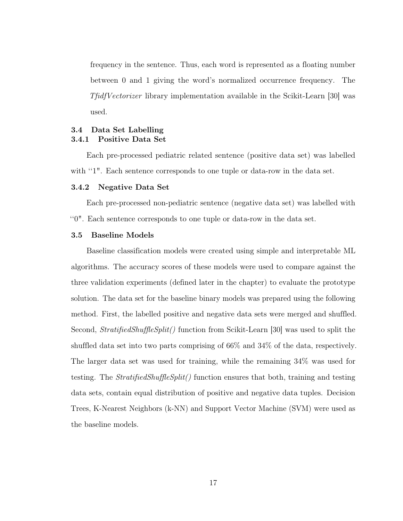frequency in the sentence. Thus, each word is represented as a floating number between 0 and 1 giving the word's normalized occurrence frequency. The TfidfVectorizer library implementation available in the Scikit-Learn [\[30\]](#page-45-5) was used.

# <span id="page-27-1"></span><span id="page-27-0"></span>3.4 Data Set Labelling 3.4.1 Positive Data Set

Each pre-processed pediatric related sentence (positive data set) was labelled with "1". Each sentence corresponds to one tuple or data-row in the data set.

#### <span id="page-27-2"></span>3.4.2 Negative Data Set

Each pre-processed non-pediatric sentence (negative data set) was labelled with ''0". Each sentence corresponds to one tuple or data-row in the data set.

## <span id="page-27-3"></span>3.5 Baseline Models

Baseline classification models were created using simple and interpretable ML algorithms. The accuracy scores of these models were used to compare against the three validation experiments (defined later in the chapter) to evaluate the prototype solution. The data set for the baseline binary models was prepared using the following method. First, the labelled positive and negative data sets were merged and shuffled. Second, *StratifiedShuffleSplit()* function from Scikit-Learn [\[30\]](#page-45-5) was used to split the shuffled data set into two parts comprising of 66% and 34% of the data, respectively. The larger data set was used for training, while the remaining 34% was used for testing. The *StratifiedShuffleSplit()* function ensures that both, training and testing data sets, contain equal distribution of positive and negative data tuples. Decision Trees, K-Nearest Neighbors (k-NN) and Support Vector Machine (SVM) were used as the baseline models.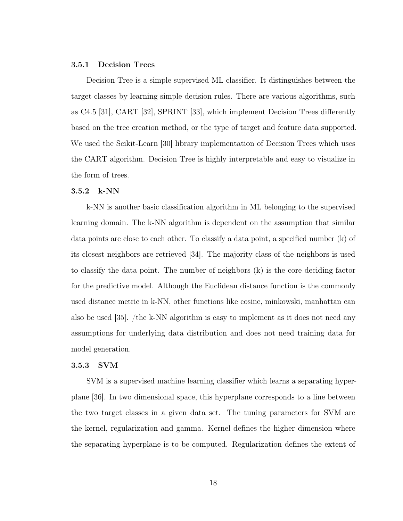#### <span id="page-28-0"></span>3.5.1 Decision Trees

Decision Tree is a simple supervised ML classifier. It distinguishes between the target classes by learning simple decision rules. There are various algorithms, such as C4.5 [\[31\]](#page-45-6), CART [\[32\]](#page-45-7), SPRINT [\[33\]](#page-45-8), which implement Decision Trees differently based on the tree creation method, or the type of target and feature data supported. We used the Scikit-Learn [\[30\]](#page-45-5) library implementation of Decision Trees which uses the CART algorithm. Decision Tree is highly interpretable and easy to visualize in the form of trees.

## <span id="page-28-1"></span>3.5.2 k-NN

k-NN is another basic classification algorithm in ML belonging to the supervised learning domain. The k-NN algorithm is dependent on the assumption that similar data points are close to each other. To classify a data point, a specified number (k) of its closest neighbors are retrieved [\[34\]](#page-45-9). The majority class of the neighbors is used to classify the data point. The number of neighbors (k) is the core deciding factor for the predictive model. Although the Euclidean distance function is the commonly used distance metric in k-NN, other functions like cosine, minkowski, manhattan can also be used [\[35\]](#page-45-10). /the k-NN algorithm is easy to implement as it does not need any assumptions for underlying data distribution and does not need training data for model generation.

## <span id="page-28-2"></span>3.5.3 SVM

SVM is a supervised machine learning classifier which learns a separating hyperplane [\[36\]](#page-45-11). In two dimensional space, this hyperplane corresponds to a line between the two target classes in a given data set. The tuning parameters for SVM are the kernel, regularization and gamma. Kernel defines the higher dimension where the separating hyperplane is to be computed. Regularization defines the extent of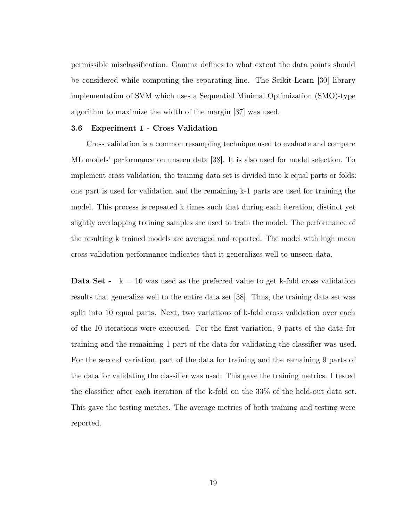permissible misclassification. Gamma defines to what extent the data points should be considered while computing the separating line. The Scikit-Learn [\[30\]](#page-45-5) library implementation of SVM which uses a Sequential Minimal Optimization (SMO)-type algorithm to maximize the width of the margin [\[37\]](#page-45-12) was used.

# <span id="page-29-0"></span>3.6 Experiment 1 - Cross Validation

Cross validation is a common resampling technique used to evaluate and compare ML models' performance on unseen data [\[38\]](#page-45-13). It is also used for model selection. To implement cross validation, the training data set is divided into k equal parts or folds: one part is used for validation and the remaining k-1 parts are used for training the model. This process is repeated k times such that during each iteration, distinct yet slightly overlapping training samples are used to train the model. The performance of the resulting k trained models are averaged and reported. The model with high mean cross validation performance indicates that it generalizes well to unseen data.

**Data Set -**  $k = 10$  was used as the preferred value to get k-fold cross validation results that generalize well to the entire data set [\[38\]](#page-45-13). Thus, the training data set was split into 10 equal parts. Next, two variations of k-fold cross validation over each of the 10 iterations were executed. For the first variation, 9 parts of the data for training and the remaining 1 part of the data for validating the classifier was used. For the second variation, part of the data for training and the remaining 9 parts of the data for validating the classifier was used. This gave the training metrics. I tested the classifier after each iteration of the k-fold on the 33% of the held-out data set. This gave the testing metrics. The average metrics of both training and testing were reported.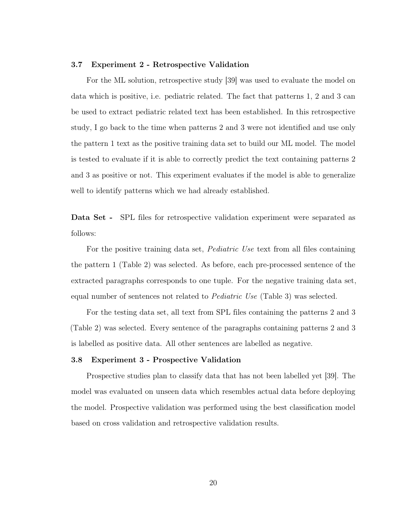#### <span id="page-30-0"></span>3.7 Experiment 2 - Retrospective Validation

For the ML solution, retrospective study [\[39\]](#page-45-14) was used to evaluate the model on data which is positive, i.e. pediatric related. The fact that patterns 1, 2 and 3 can be used to extract pediatric related text has been established. In this retrospective study, I go back to the time when patterns 2 and 3 were not identified and use only the pattern 1 text as the positive training data set to build our ML model. The model is tested to evaluate if it is able to correctly predict the text containing patterns 2 and 3 as positive or not. This experiment evaluates if the model is able to generalize well to identify patterns which we had already established.

Data Set - SPL files for retrospective validation experiment were separated as follows:

For the positive training data set, Pediatric Use text from all files containing the pattern 1 (Table [2\)](#page-25-2) was selected. As before, each pre-processed sentence of the extracted paragraphs corresponds to one tuple. For the negative training data set, equal number of sentences not related to Pediatric Use (Table [3\)](#page-25-3) was selected.

For the testing data set, all text from SPL files containing the patterns 2 and 3 (Table [2\)](#page-25-2) was selected. Every sentence of the paragraphs containing patterns 2 and 3 is labelled as positive data. All other sentences are labelled as negative.

#### <span id="page-30-1"></span>3.8 Experiment 3 - Prospective Validation

Prospective studies plan to classify data that has not been labelled yet [\[39\]](#page-45-14). The model was evaluated on unseen data which resembles actual data before deploying the model. Prospective validation was performed using the best classification model based on cross validation and retrospective validation results.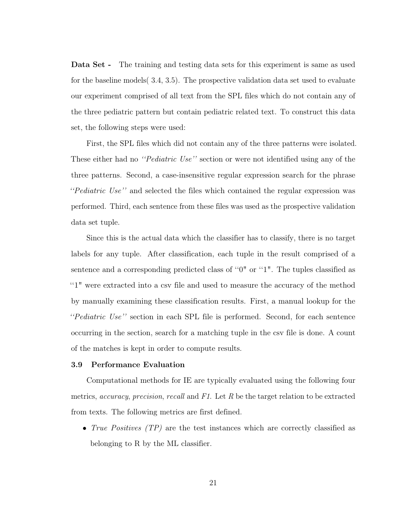Data Set - The training and testing data sets for this experiment is same as used for the baseline models( [3.4,](#page-27-0) [3.5\)](#page-27-3). The prospective validation data set used to evaluate our experiment comprised of all text from the SPL files which do not contain any of the three pediatric pattern but contain pediatric related text. To construct this data set, the following steps were used:

First, the SPL files which did not contain any of the three patterns were isolated. These either had no *''Pediatric Use''* section or were not identified using any of the three patterns. Second, a case-insensitive regular expression search for the phrase ''Pediatric Use'' and selected the files which contained the regular expression was performed. Third, each sentence from these files was used as the prospective validation data set tuple.

Since this is the actual data which the classifier has to classify, there is no target labels for any tuple. After classification, each tuple in the result comprised of a sentence and a corresponding predicted class of ''0" or ''1". The tuples classified as ''1" were extracted into a csv file and used to measure the accuracy of the method by manually examining these classification results. First, a manual lookup for the ''Pediatric Use'' section in each SPL file is performed. Second, for each sentence occurring in the section, search for a matching tuple in the csv file is done. A count of the matches is kept in order to compute results.

#### <span id="page-31-0"></span>3.9 Performance Evaluation

Computational methods for IE are typically evaluated using the following four metrics, *accuracy*, *precision*, *recall* and  $F1$ . Let R be the target relation to be extracted from texts. The following metrics are first defined.

• True Positives (TP) are the test instances which are correctly classified as belonging to R by the ML classifier.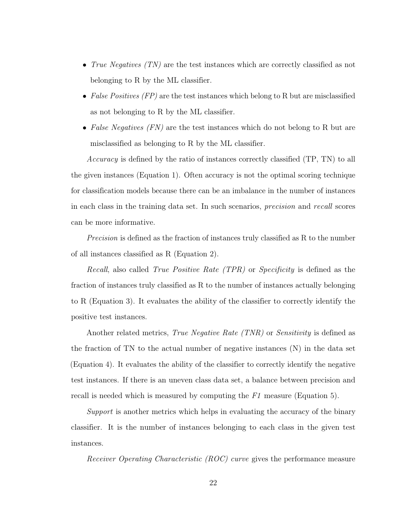- True Negatives (TN) are the test instances which are correctly classified as not belonging to R by the ML classifier.
- False Positives  $(FP)$  are the test instances which belong to R but are misclassified as not belonging to R by the ML classifier.
- False Negatives  $(FN)$  are the test instances which do not belong to R but are misclassified as belonging to R by the ML classifier.

Accuracy is defined by the ratio of instances correctly classified (TP, TN) to all the given instances (Equation [1\)](#page-33-2). Often accuracy is not the optimal scoring technique for classification models because there can be an imbalance in the number of instances in each class in the training data set. In such scenarios, precision and recall scores can be more informative.

Precision is defined as the fraction of instances truly classified as R to the number of all instances classified as R (Equation [2\)](#page-33-3).

Recall, also called True Positive Rate (TPR) or Specificity is defined as the fraction of instances truly classified as R to the number of instances actually belonging to R (Equation [3\)](#page-33-4). It evaluates the ability of the classifier to correctly identify the positive test instances.

Another related metrics, *True Negative Rate (TNR)* or *Sensitivity* is defined as the fraction of TN to the actual number of negative instances (N) in the data set (Equation [4\)](#page-33-5). It evaluates the ability of the classifier to correctly identify the negative test instances. If there is an uneven class data set, a balance between precision and recall is needed which is measured by computing the F1 measure (Equation [5\)](#page-33-6).

Support is another metrics which helps in evaluating the accuracy of the binary classifier. It is the number of instances belonging to each class in the given test instances.

Receiver Operating Characteristic (ROC) curve gives the performance measure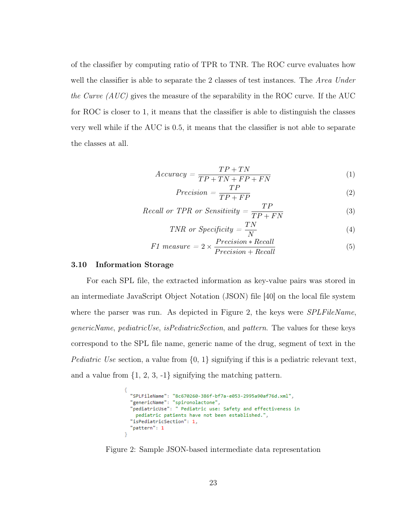of the classifier by computing ratio of TPR to TNR. The ROC curve evaluates how well the classifier is able to separate the 2 classes of test instances. The Area Under the Curve  $(AUC)$  gives the measure of the separability in the ROC curve. If the AUC for ROC is closer to 1, it means that the classifier is able to distinguish the classes very well while if the AUC is 0.5, it means that the classifier is not able to separate the classes at all.

<span id="page-33-2"></span>
$$
Accuracy = \frac{TP + TN}{TP + TN + FP + FN}
$$
\n<sup>(1)</sup>

<span id="page-33-3"></span>
$$
Precision = \frac{TP}{TP + FP}
$$
 (2)

<span id="page-33-4"></span>Recall or TPR or Sensitivity = 
$$
\frac{TP}{TP + FN}
$$
 (3)

<span id="page-33-5"></span>
$$
TNR \text{ or } Specificity = \frac{TN}{N} \tag{4}
$$

<span id="page-33-6"></span>
$$
F1\ measure = 2 \times \frac{Precision * Recall}{Precision + Recall}
$$
\n(5)

#### <span id="page-33-0"></span>3.10 Information Storage

For each SPL file, the extracted information as key-value pairs was stored in an intermediate JavaScript Object Notation (JSON) file [\[40\]](#page-46-0) on the local file system where the parser was run. As depicted in Figure [2,](#page-33-1) the keys were *SPLFileName*, genericName, pediatricUse, isPediatricSection, and pattern. The values for these keys correspond to the SPL file name, generic name of the drug, segment of text in the *Pediatric Use* section, a value from  $\{0, 1\}$  signifying if this is a pediatric relevant text, and a value from  $\{1, 2, 3, -1\}$  signifying the matching pattern.

<span id="page-33-1"></span>

Figure 2: Sample JSON-based intermediate data representation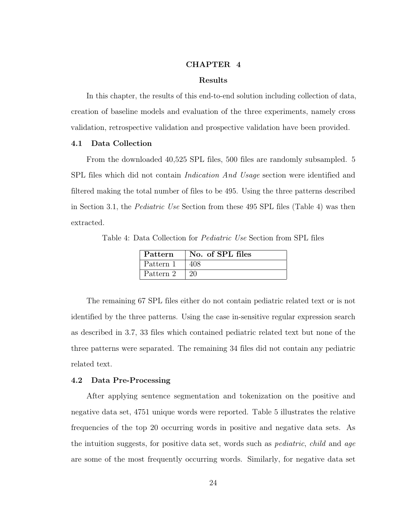#### CHAPTER 4

### Results

<span id="page-34-0"></span>In this chapter, the results of this end-to-end solution including collection of data, creation of baseline models and evaluation of the three experiments, namely cross validation, retrospective validation and prospective validation have been provided.

#### <span id="page-34-1"></span>4.1 Data Collection

From the downloaded 40,525 SPL files, 500 files are randomly subsampled. 5 SPL files which did not contain *Indication And Usage* section were identified and filtered making the total number of files to be 495. Using the three patterns described in Section [3.1,](#page-24-1) the Pediatric Use Section from these 495 SPL files (Table [4\)](#page-34-3) was then extracted.

<span id="page-34-3"></span>Table 4: Data Collection for Pediatric Use Section from SPL files

| $\parallel$ Pattern | No. of SPL files |
|---------------------|------------------|
| Pattern 1           |                  |
| Pattern 2           |                  |

The remaining 67 SPL files either do not contain pediatric related text or is not identified by the three patterns. Using the case in-sensitive regular expression search as described in [3.7,](#page-30-0) 33 files which contained pediatric related text but none of the three patterns were separated. The remaining 34 files did not contain any pediatric related text.

#### <span id="page-34-2"></span>4.2 Data Pre-Processing

After applying sentence segmentation and tokenization on the positive and negative data set, 4751 unique words were reported. Table [5](#page-35-1) illustrates the relative frequencies of the top 20 occurring words in positive and negative data sets. As the intuition suggests, for positive data set, words such as *pediatric*, *child* and *age* are some of the most frequently occurring words. Similarly, for negative data set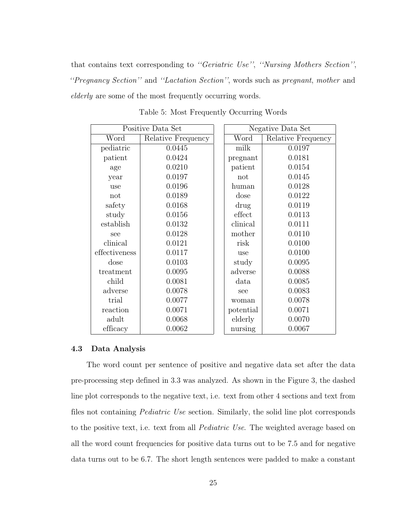that contains text corresponding to ''Geriatric Use'', ''Nursing Mothers Section'', ''Pregnancy Section'' and ''Lactation Section'', words such as pregnant, mother and elderly are some of the most frequently occurring words.

<span id="page-35-1"></span>

|               | Positive Data Set  |  | Negative Data Set |                    |  |
|---------------|--------------------|--|-------------------|--------------------|--|
| Word          | Relative Frequency |  | Word              | Relative Frequency |  |
| pediatric     | 0.0445             |  | milk              | 0.0197             |  |
| patient       | 0.0424             |  | pregnant          | 0.0181             |  |
| age           | 0.0210             |  | patient           | 0.0154             |  |
| year          | 0.0197             |  | not               | 0.0145             |  |
| use           | 0.0196             |  | human             | 0.0128             |  |
| not           | 0.0189             |  | dose              | 0.0122             |  |
| safety        | 0.0168             |  | drug              | 0.0119             |  |
| study         | 0.0156             |  | effect            | 0.0113             |  |
| establish     | 0.0132             |  | clinical          | 0.0111             |  |
| see           | 0.0128             |  | mother            | 0.0110             |  |
| clinical      | 0.0121             |  | risk              | 0.0100             |  |
| effectiveness | 0.0117             |  | use               | 0.0100             |  |
| dose          | 0.0103             |  | study             | 0.0095             |  |
| treatment     | 0.0095             |  | adverse           | 0.0088             |  |
| child         | 0.0081             |  | data              | 0.0085             |  |
| adverse       | 0.0078             |  | see               | 0.0083             |  |
| trial         | 0.0077             |  | woman             | 0.0078             |  |
| reaction      | 0.0071             |  | potential         | 0.0071             |  |
| adult         | 0.0068             |  | elderly           | 0.0070             |  |
| efficacy      | 0.0062             |  | nursing           | 0.0067             |  |

Table 5: Most Frequently Occurring Words

## <span id="page-35-0"></span>4.3 Data Analysis

The word count per sentence of positive and negative data set after the data pre-processing step defined in [3.3](#page-25-1) was analyzed. As shown in the Figure [3,](#page-36-1) the dashed line plot corresponds to the negative text, i.e. text from other 4 sections and text from files not containing Pediatric Use section. Similarly, the solid line plot corresponds to the positive text, i.e. text from all Pediatric Use. The weighted average based on all the word count frequencies for positive data turns out to be 7.5 and for negative data turns out to be 6.7. The short length sentences were padded to make a constant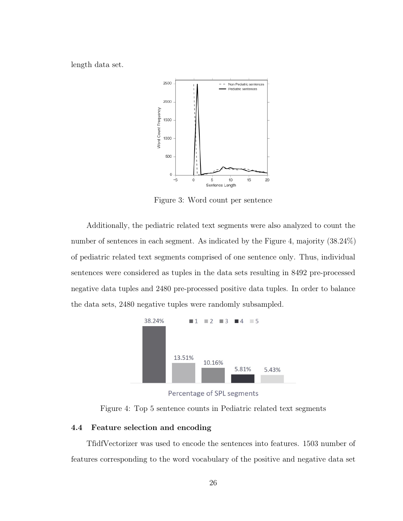<span id="page-36-1"></span>length data set.



Figure 3: Word count per sentence

Additionally, the pediatric related text segments were also analyzed to count the number of sentences in each segment. As indicated by the Figure [4,](#page-36-2) majority (38.24%) of pediatric related text segments comprised of one sentence only. Thus, individual sentences were considered as tuples in the data sets resulting in 8492 pre-processed negative data tuples and 2480 pre-processed positive data tuples. In order to balance the data sets, 2480 negative tuples were randomly subsampled.

<span id="page-36-2"></span>

Percentage of SPL segments

Figure 4: Top 5 sentence counts in Pediatric related text segments

# <span id="page-36-0"></span>4.4 Feature selection and encoding

TfidfVectorizer was used to encode the sentences into features. 1503 number of features corresponding to the word vocabulary of the positive and negative data set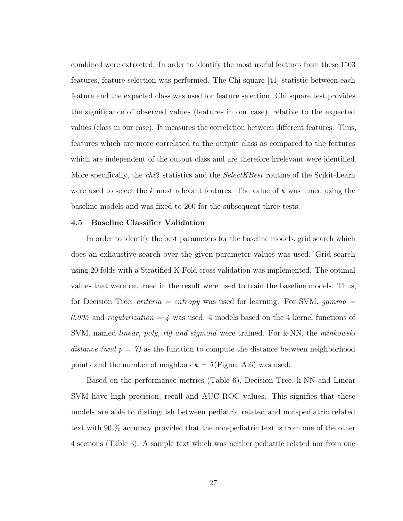combined were extracted. In order to identify the most useful features from these 1503 features, feature selection was performed. The Chi square [\[41\]](#page-46-1) statistic between each feature and the expected class was used for feature selection. Chi square test provides the significance of observed values (features in our case), relative to the expected values (class in our case). It measures the correlation between different features. Thus, features which are more correlated to the output class as compared to the features which are independent of the output class and are therefore irrelevant were identified. More specifically, the *chi2* statistics and the *SelectKBest* routine of the Scikit-Learn were used to select the  $k$  most relevant features. The value of  $k$  was tuned using the baseline models and was fixed to 200 for the subsequent three tests.

#### <span id="page-37-0"></span>4.5 Baseline Classifier Validation

In order to identify the best parameters for the baseline models, grid search which does an exhaustive search over the given parameter values was used. Grid search using 20 folds with a Stratified K-Fold cross validation was implemented. The optimal values that were returned in the result were used to train the baseline models. Thus, for Decision Tree, *criteria = entropy* was used for learning. For SVM,  $gamma =$ 0.005 and regularization  $=$  4 was used. 4 models based on the 4 kernel functions of SVM, named *linear, poly, rbf and sigmoid* were trained. For k-NN, the *minkowski* distance (and  $p = 7$ ) as the function to compute the distance between neighborhood points and the number of neighbors  $k = 5$  (Figure [A.6\)](#page-47-2) was used.

Based on the performance metrics (Table [6\)](#page-38-1), Decision Tree, k-NN and Linear SVM have high precision, recall and AUC ROC values. This signifies that these models are able to distinguish between pediatric related and non-pediatric related text with 90 % accuracy provided that the non-pediatric text is from one of the other 4 sections (Table [3\)](#page-25-3). A sample text which was neither pediatric related nor from one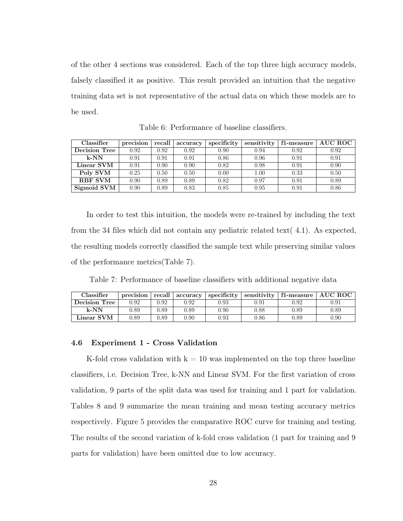of the other 4 sections was considered. Each of the top three high accuracy models, falsely classified it as positive. This result provided an intuition that the negative training data set is not representative of the actual data on which these models are to be used.

<span id="page-38-1"></span>

| Classifier           | precision | recall | accuracy | specificity | sensitivity | f1-measure | <b>AUC ROC</b> |
|----------------------|-----------|--------|----------|-------------|-------------|------------|----------------|
| <b>Decision Tree</b> | 0.92      | 0.92   | 0.92     | 0.90        | 0.94        | 0.92       | 0.92           |
| $k-NN$               | 0.91      | 0.91   | 0.91     | 0.86        | 0.96        | 0.91       | 0.91           |
| Linear SVM           | 0.91      | 0.90   | 0.90     | 0.82        | 0.98        | 0.91       | 0.90           |
| Poly SVM             | 0.25      | 0.50   | 0.50     | 0.00        | 1.00        | 0.33       | 0.50           |
| <b>RBF SVM</b>       | 0.90      | 0.89   | 0.89     | 0.82        | 0.97        | 0.91       | 0.89           |
| Sigmoid SVM          | 0.90      | 0.89   | 0.83     | 0.85        | 0.95        | 0.91       | 0.86           |

Table 6: Performance of baseline classifiers.

In order to test this intuition, the models were re-trained by including the text from the 34 files which did not contain any pediatric related text( [4.1\)](#page-34-3). As expected, the resulting models correctly classified the sample text while preserving similar values of the performance metrics(Table [7\)](#page-38-2).

<span id="page-38-2"></span>Table 7: Performance of baseline classifiers with additional negative data

| Classifier    | precision | recall | accuracv | specificity | sensitivity | f1-measure | <b>AUC ROC</b> |
|---------------|-----------|--------|----------|-------------|-------------|------------|----------------|
| Decision Tree | 0.92      | 9.92   | 0.92     | $0.93\,$    | $\rm 0.91$  | $0.92\,$   | $\rm 0.91$     |
| $k-NN$        | 0.89      | 1.89   | 0.89     | $0.90\,$    | 0.88        | 0.89       | 0.89           |
| Linear SVM    | 0.89      | 1.89   | $0.90\,$ | $0.93\,$    | $0.86\,$    | 0.89       | 0.90           |

#### <span id="page-38-0"></span>4.6 Experiment 1 - Cross Validation

K-fold cross validation with  $k = 10$  was implemented on the top three baseline classifiers, i.e. Decision Tree, k-NN and Linear SVM. For the first variation of cross validation, 9 parts of the split data was used for training and 1 part for validation. Tables [8](#page-39-0) and [9](#page-39-1) summarize the mean training and mean testing accuracy metrics respectively. Figure [5](#page-39-2) provides the comparative ROC curve for training and testing. The results of the second variation of k-fold cross validation (1 part for training and 9 parts for validation) have been omitted due to low accuracy.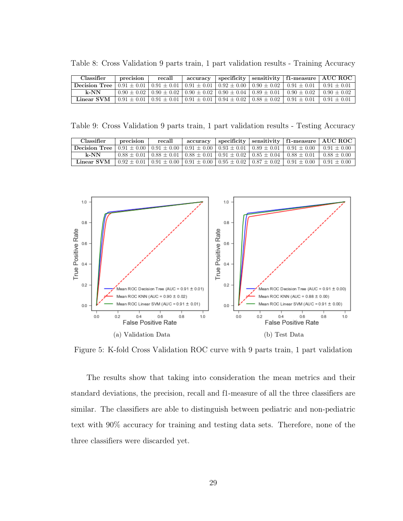<span id="page-39-0"></span>

| Table 8: Cross Validation 9 parts train, 1 part validation results - Training Accuracy |  |  |  |  |  |  |  |
|----------------------------------------------------------------------------------------|--|--|--|--|--|--|--|
|----------------------------------------------------------------------------------------|--|--|--|--|--|--|--|

| Classifier                                                                                                                                                                                                                                                                                                                                             | precision | recall | accuracy |                                                                                         |                 | specificity   sensitivity   f1-measure   AUC ROC |
|--------------------------------------------------------------------------------------------------------------------------------------------------------------------------------------------------------------------------------------------------------------------------------------------------------------------------------------------------------|-----------|--------|----------|-----------------------------------------------------------------------------------------|-----------------|--------------------------------------------------|
| <b>Decision Tree</b> $\begin{bmatrix} 0.91 \pm 0.01 \end{bmatrix}$ $\begin{bmatrix} 0.91 \pm 0.01 \end{bmatrix}$ $\begin{bmatrix} 0.91 \pm 0.01 \end{bmatrix}$ $\begin{bmatrix} 0.92 \pm 0.00 \end{bmatrix}$ $\begin{bmatrix} 0.90 \pm 0.02 \end{bmatrix}$ $\begin{bmatrix} 0.91 \pm 0.01 \end{bmatrix}$ $\begin{bmatrix} 0.91 \pm 0.01 \end{bmatrix}$ |           |        |          |                                                                                         |                 |                                                  |
| k-NN                                                                                                                                                                                                                                                                                                                                                   |           |        |          | $0.90 \pm 0.02$   $0.90 \pm 0.02$   $0.90 \pm 0.02$   $0.90 \pm 0.04$   $0.89 \pm 0.01$ | $0.90 \pm 0.02$ | $0.90 + 0.02$                                    |
| Linear SVM                                                                                                                                                                                                                                                                                                                                             |           |        |          | $0.91 \pm 0.01$   $0.91 \pm 0.01$   $0.91 \pm 0.01$   $0.94 \pm 0.02$   $0.88 \pm 0.02$ | $0.91 \pm 0.01$ | $0.91 \pm 0.01$                                  |

<span id="page-39-1"></span>Table 9: Cross Validation 9 parts train, 1 part validation results - Testing Accuracy

| Classifier                                                                                                                                                                                                                                                                                               | precision | recall | accuracy |                                                                                                           | specificity   sensitivity   f1-measure   AUC ROC                                                          |                 |
|----------------------------------------------------------------------------------------------------------------------------------------------------------------------------------------------------------------------------------------------------------------------------------------------------------|-----------|--------|----------|-----------------------------------------------------------------------------------------------------------|-----------------------------------------------------------------------------------------------------------|-----------------|
| <b>Decision Tree</b> $\begin{bmatrix} 0.91 \pm 0.00 \end{bmatrix}$ $\begin{bmatrix} 0.91 \pm 0.00 \end{bmatrix}$ $\begin{bmatrix} 0.91 \pm 0.00 \end{bmatrix}$ $\begin{bmatrix} 0.93 \pm 0.01 \end{bmatrix}$ $\begin{bmatrix} 0.89 \pm 0.01 \end{bmatrix}$ $\begin{bmatrix} 0.91 \pm 0.00 \end{bmatrix}$ |           |        |          |                                                                                                           |                                                                                                           | $0.91 + 0.00$   |
| $k$ -NN                                                                                                                                                                                                                                                                                                  |           |        |          | $0.88 \pm 0.01$   $0.88 \pm 0.01$   $0.88 \pm 0.01$   $0.91 \pm 0.02$   $0.85 \pm 0.04$   $0.88 \pm 0.01$ |                                                                                                           | $0.88 \pm 0.00$ |
| Linear SVM                                                                                                                                                                                                                                                                                               |           |        |          |                                                                                                           | $0.92 \pm 0.01$   $0.91 \pm 0.00$   $0.91 \pm 0.00$   $0.95 \pm 0.02$   $0.87 \pm 0.02$   $0.91 \pm 0.00$ | $0.91 \pm 0.00$ |

<span id="page-39-2"></span>

Figure 5: K-fold Cross Validation ROC curve with 9 parts train, 1 part validation

The results show that taking into consideration the mean metrics and their standard deviations, the precision, recall and f1-measure of all the three classifiers are similar. The classifiers are able to distinguish between pediatric and non-pediatric text with 90% accuracy for training and testing data sets. Therefore, none of the three classifiers were discarded yet.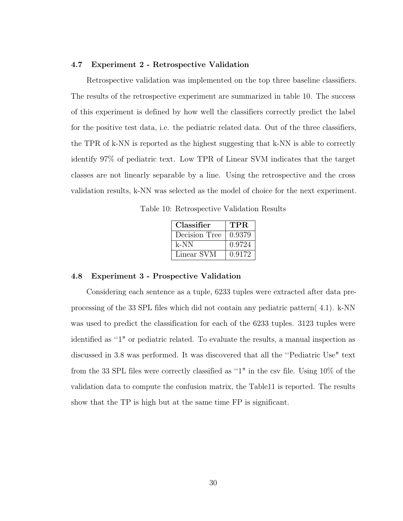#### <span id="page-40-0"></span>4.7 Experiment 2 - Retrospective Validation

Retrospective validation was implemented on the top three baseline classifiers. The results of the retrospective experiment are summarized in table [10.](#page-40-2) The success of this experiment is defined by how well the classifiers correctly predict the label for the positive test data, i.e. the pediatric related data. Out of the three classifiers, the TPR of k-NN is reported as the highest suggesting that k-NN is able to correctly identify 97% of pediatric text. Low TPR of Linear SVM indicates that the target classes are not linearly separable by a line. Using the retrospective and the cross validation results, k-NN was selected as the model of choice for the next experiment.

<span id="page-40-2"></span>Table 10: Retrospective Validation Results

| Classifier    | TPR.   |
|---------------|--------|
| Decision Tree | 0.9379 |
| k-NN          | 0.9724 |
| Linear SVM    | 0.9172 |

#### <span id="page-40-1"></span>4.8 Experiment 3 - Prospective Validation

Considering each sentence as a tuple, 6233 tuples were extracted after data preprocessing of the 33 SPL files which did not contain any pediatric pattern( [4.1\)](#page-34-3). k-NN was used to predict the classification for each of the 6233 tuples. 3123 tuples were identified as ''1" or pediatric related. To evaluate the results, a manual inspection as discussed in [3.8](#page-30-1) was performed. It was discovered that all the ''Pediatric Use" text from the 33 SPL files were correctly classified as ''1" in the csv file. Using 10% of the validation data to compute the confusion matrix, the Tabl[e11](#page-41-0) is reported. The results show that the TP is high but at the same time FP is significant.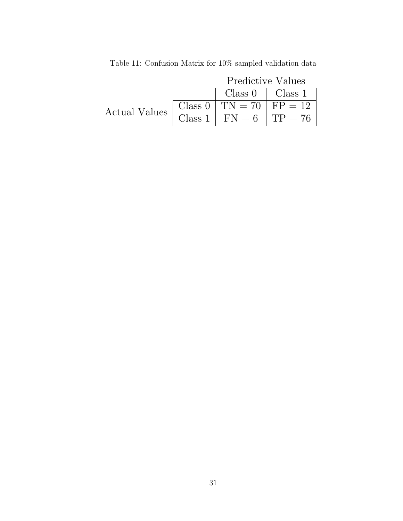<span id="page-41-0"></span>

|                        | Predictive Values                                               |  |  |
|------------------------|-----------------------------------------------------------------|--|--|
|                        | $Class 0$   $Class 1$                                           |  |  |
| Actual Values $\vdash$ | Class 0   TN = 70   FP = 12                                     |  |  |
|                        | $\boxed{\text{Class 1} \mid \text{FN} = 6} \mid \text{TP} = 76$ |  |  |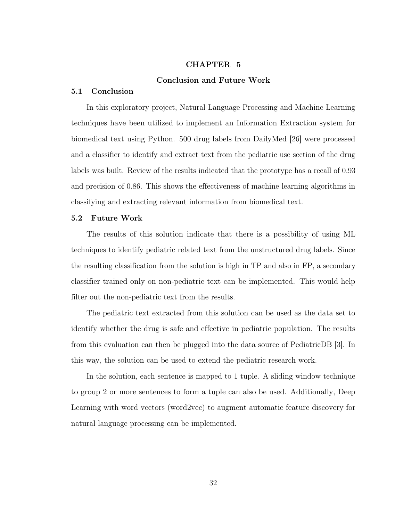# CHAPTER 5

# Conclusion and Future Work

#### <span id="page-42-1"></span><span id="page-42-0"></span>5.1 Conclusion

In this exploratory project, Natural Language Processing and Machine Learning techniques have been utilized to implement an Information Extraction system for biomedical text using Python. 500 drug labels from DailyMed [\[26\]](#page-45-1) were processed and a classifier to identify and extract text from the pediatric use section of the drug labels was built. Review of the results indicated that the prototype has a recall of 0.93 and precision of 0.86. This shows the effectiveness of machine learning algorithms in classifying and extracting relevant information from biomedical text.

### <span id="page-42-2"></span>5.2 Future Work

The results of this solution indicate that there is a possibility of using ML techniques to identify pediatric related text from the unstructured drug labels. Since the resulting classification from the solution is high in TP and also in FP, a secondary classifier trained only on non-pediatric text can be implemented. This would help filter out the non-pediatric text from the results.

The pediatric text extracted from this solution can be used as the data set to identify whether the drug is safe and effective in pediatric population. The results from this evaluation can then be plugged into the data source of PediatricDB [\[3\]](#page-43-3). In this way, the solution can be used to extend the pediatric research work.

In the solution, each sentence is mapped to 1 tuple. A sliding window technique to group 2 or more sentences to form a tuple can also be used. Additionally, Deep Learning with word vectors (word2vec) to augment automatic feature discovery for natural language processing can be implemented.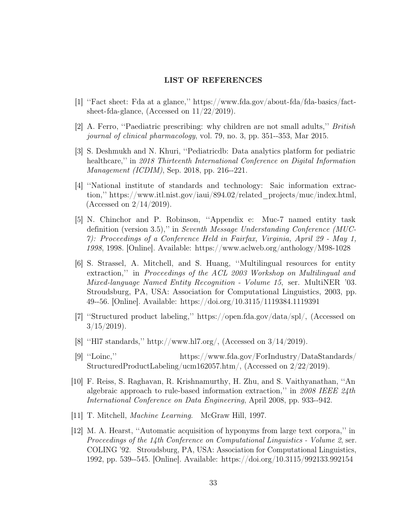# LIST OF REFERENCES

- <span id="page-43-1"></span><span id="page-43-0"></span>[1] ''Fact sheet: Fda at a glance,'' [https://www.fda.gov/about-fda/fda-basics/fact](https://www.fda.gov/about-fda/fda-basics/fact-sheet-fda-glance)[sheet-fda-glance,](https://www.fda.gov/about-fda/fda-basics/fact-sheet-fda-glance) (Accessed on 11/22/2019).
- <span id="page-43-2"></span>[2] A. Ferro, ''Paediatric prescribing: why children are not small adults,'' British journal of clinical pharmacology, vol. 79, no. 3, pp. 351--353, Mar 2015.
- <span id="page-43-3"></span>[3] S. Deshmukh and N. Khuri, ''Pediatricdb: Data analytics platform for pediatric healthcare," in 2018 Thirteenth International Conference on Digital Information Management (ICDIM), Sep. 2018, pp. 216--221.
- <span id="page-43-4"></span>[4] ''National institute of standards and technology: Saic information extraction,'' [https://www.itl.nist.gov/iaui/894.02/related\\_projects/muc/index.html,](https://www.itl.nist.gov/iaui/894.02/related_projects/muc/index.html) (Accessed on 2/14/2019).
- <span id="page-43-5"></span>[5] N. Chinchor and P. Robinson, ''Appendix e: Muc-7 named entity task definition (version 3.5),'' in Seventh Message Understanding Conference (MUC-7): Proceedings of a Conference Held in Fairfax, Virginia, April 29 - May 1, 1998, 1998. [Online]. Available:<https://www.aclweb.org/anthology/M98-1028>
- <span id="page-43-6"></span>[6] S. Strassel, A. Mitchell, and S. Huang, ''Multilingual resources for entity extraction,'' in Proceedings of the ACL 2003 Workshop on Multilingual and Mixed-language Named Entity Recognition - Volume 15, ser. MultiNER '03. Stroudsburg, PA, USA: Association for Computational Linguistics, 2003, pp. 49--56. [Online]. Available:<https://doi.org/10.3115/1119384.1119391>
- <span id="page-43-7"></span>[7] ''Structured product labeling,'' [https://open.fda.gov/data/spl/,](https://open.fda.gov/data/spl/) (Accessed on  $3/15/2019$ .
- <span id="page-43-8"></span>[8] ''Hl7 standards,'' [http://www.hl7.org/,](http://www.hl7.org/) (Accessed on 3/14/2019).
- <span id="page-43-9"></span>[9] ''Loinc,'' [https://www.fda.gov/ForIndustry/DataStandards/](https://www.fda.gov/ForIndustry/DataStandards/StructuredProductLabeling/ucm162057.htm/) [StructuredProductLabeling/ucm162057.htm/,](https://www.fda.gov/ForIndustry/DataStandards/StructuredProductLabeling/ucm162057.htm/) (Accessed on 2/22/2019).
- <span id="page-43-10"></span>[10] F. Reiss, S. Raghavan, R. Krishnamurthy, H. Zhu, and S. Vaithyanathan, ''An algebraic approach to rule-based information extraction,'' in 2008 IEEE 24th International Conference on Data Engineering, April 2008, pp. 933--942.
- <span id="page-43-11"></span>[11] T. Mitchell, Machine Learning. McGraw Hill, 1997.
- <span id="page-43-12"></span>[12] M. A. Hearst, ''Automatic acquisition of hyponyms from large text corpora,'' in Proceedings of the 14th Conference on Computational Linguistics - Volume 2, ser. COLING '92. Stroudsburg, PA, USA: Association for Computational Linguistics, 1992, pp. 539--545. [Online]. Available:<https://doi.org/10.3115/992133.992154>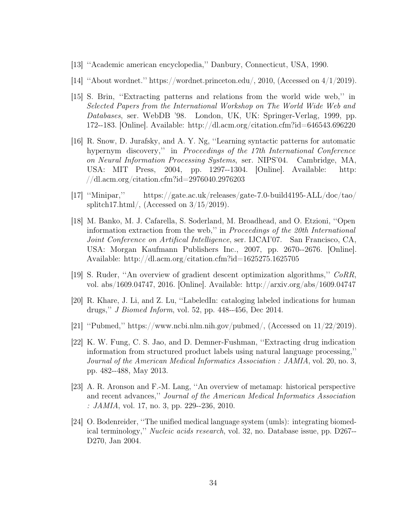- <span id="page-44-0"></span>[13] ''Academic american encyclopedia,'' Danbury, Connecticut, USA, 1990.
- <span id="page-44-1"></span>[14] ''About wordnet.'' [https://wordnet.princeton.edu/,](https://wordnet.princeton.edu/) 2010, (Accessed on 4/1/2019).
- <span id="page-44-2"></span>[15] S. Brin, ''Extracting patterns and relations from the world wide web,'' in Selected Papers from the International Workshop on The World Wide Web and Databases, ser. WebDB '98. London, UK, UK: Springer-Verlag, 1999, pp. 172--183. [Online]. Available:<http://dl.acm.org/citation.cfm?id=646543.696220>
- <span id="page-44-3"></span>[16] R. Snow, D. Jurafsky, and A. Y. Ng, ''Learning syntactic patterns for automatic hypernym discovery," in *Proceedings of the 17th International Conference* on Neural Information Processing Systems, ser. NIPS'04. Cambridge, MA, USA: MIT Press, 2004, pp. 1297--1304. [Online]. Available: [http:](http://dl.acm.org/citation.cfm?id=2976040.2976203) [//dl.acm.org/citation.cfm?id=2976040.2976203](http://dl.acm.org/citation.cfm?id=2976040.2976203)
- <span id="page-44-4"></span>[17] ''Minipar,'' [https://gate.ac.uk/releases/gate-7.0-build4195-ALL/doc/tao/](https://gate.ac.uk/releases/gate-7.0-build4195-ALL/doc/tao/splitch17.html/) [splitch17.html/,](https://gate.ac.uk/releases/gate-7.0-build4195-ALL/doc/tao/splitch17.html/) (Accessed on  $3/15/2019$ ).
- <span id="page-44-5"></span>[18] M. Banko, M. J. Cafarella, S. Soderland, M. Broadhead, and O. Etzioni, ''Open information extraction from the web,'' in Proceedings of the 20th International Joint Conference on Artifical Intelligence, ser. IJCAI'07. San Francisco, CA, USA: Morgan Kaufmann Publishers Inc., 2007, pp. 2670--2676. [Online]. Available:<http://dl.acm.org/citation.cfm?id=1625275.1625705>
- <span id="page-44-6"></span>[19] S. Ruder, ''An overview of gradient descent optimization algorithms,'' CoRR, vol. abs/1609.04747, 2016. [Online]. Available:<http://arxiv.org/abs/1609.04747>
- <span id="page-44-7"></span>[20] R. Khare, J. Li, and Z. Lu, ''LabeledIn: cataloging labeled indications for human drugs,'' J Biomed Inform, vol. 52, pp. 448--456, Dec 2014.
- <span id="page-44-8"></span>[21] "Pubmed," [https://www.ncbi.nlm.nih.gov/pubmed/,](https://www.ncbi.nlm.nih.gov/pubmed/) (Accessed on  $11/22/2019$ ).
- <span id="page-44-9"></span>[22] K. W. Fung, C. S. Jao, and D. Demner-Fushman, ''Extracting drug indication information from structured product labels using natural language processing,'' Journal of the American Medical Informatics Association : JAMIA, vol. 20, no. 3, pp. 482--488, May 2013.
- <span id="page-44-10"></span>[23] A. R. Aronson and F.-M. Lang, ''An overview of metamap: historical perspective and recent advances,'' Journal of the American Medical Informatics Association :  $JAMIA$ , vol. 17, no. 3, pp. 229--236, 2010.
- <span id="page-44-11"></span>[24] O. Bodenreider, ''The unified medical language system (umls): integrating biomedical terminology,'' Nucleic acids research, vol. 32, no. Database issue, pp. D267-- D270, Jan 2004.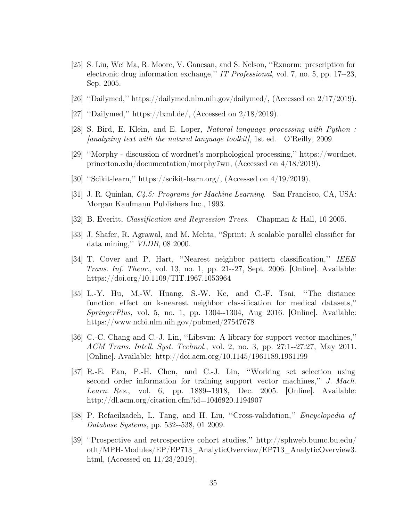- <span id="page-45-0"></span>[25] S. Liu, Wei Ma, R. Moore, V. Ganesan, and S. Nelson, ''Rxnorm: prescription for electronic drug information exchange,'' IT Professional, vol. 7, no. 5, pp. 17--23, Sep. 2005.
- <span id="page-45-1"></span>[26] ''Dailymed,'' [https://dailymed.nlm.nih.gov/dailymed/,](https://dailymed.nlm.nih.gov/dailymed/) (Accessed on 2/17/2019).
- <span id="page-45-2"></span>[27] ''Dailymed,'' [https://lxml.de/,](https://lxml.de/) (Accessed on 2/18/2019).
- <span id="page-45-3"></span>[28] S. Bird, E. Klein, and E. Loper, Natural language processing with Python :  $[analysis]$  fanalyzing text with the natural language toolkit, 1st ed.  $\alpha$  (Reilly, 2009.
- <span id="page-45-4"></span>[29] ''Morphy - discussion of wordnet's morphological processing,'' [https://wordnet.](https://wordnet.princeton.edu/documentation/morphy7wn) [princeton.edu/documentation/morphy7wn,](https://wordnet.princeton.edu/documentation/morphy7wn) (Accessed on 4/18/2019).
- <span id="page-45-5"></span>[30] ''Scikit-learn,'' [https://scikit-learn.org/,](https://scikit-learn.org/) (Accessed on 4/19/2019).
- <span id="page-45-6"></span>[31] J. R. Quinlan, C4.5: Programs for Machine Learning. San Francisco, CA, USA: Morgan Kaufmann Publishers Inc., 1993.
- <span id="page-45-7"></span>[32] B. Everitt, Classification and Regression Trees. Chapman & Hall, 10 2005.
- <span id="page-45-8"></span>[33] J. Shafer, R. Agrawal, and M. Mehta, ''Sprint: A scalable parallel classifier for data mining,'' VLDB, 08 2000.
- <span id="page-45-9"></span>[34] T. Cover and P. Hart, ''Nearest neighbor pattern classification,'' IEEE Trans. Inf. Theor., vol. 13, no. 1, pp. 21--27, Sept. 2006. [Online]. Available: <https://doi.org/10.1109/TIT.1967.1053964>
- <span id="page-45-10"></span>[35] L.-Y. Hu, M.-W. Huang, S.-W. Ke, and C.-F. Tsai, ''The distance function effect on k-nearest neighbor classification for medical datasets,'' SpringerPlus, vol. 5, no. 1, pp. 1304--1304, Aug 2016. [Online]. Available: <https://www.ncbi.nlm.nih.gov/pubmed/27547678>
- <span id="page-45-11"></span>[36] C.-C. Chang and C.-J. Lin, "Libsvm: A library for support vector machines," ACM Trans. Intell. Syst. Technol., vol. 2, no. 3, pp. 27:1--27:27, May 2011. [Online]. Available:<http://doi.acm.org/10.1145/1961189.1961199>
- <span id="page-45-12"></span>[37] R.-E. Fan, P.-H. Chen, and C.-J. Lin, ''Working set selection using second order information for training support vector machines,'' J. Mach. Learn. Res., vol. 6, pp. 1889--1918, Dec. 2005. [Online]. Available: <http://dl.acm.org/citation.cfm?id=1046920.1194907>
- <span id="page-45-13"></span>[38] P. Refaeilzadeh, L. Tang, and H. Liu, ''Cross-validation,'' Encyclopedia of Database Systems, pp. 532--538, 01 2009.
- <span id="page-45-14"></span>[39] ''Prospective and retrospective cohort studies,'' [http://sphweb.bumc.bu.edu/](http://sphweb.bumc.bu.edu/otlt/MPH-Modules/EP/EP713_AnalyticOverview/EP713_AnalyticOverview3.html) [otlt/MPH-Modules/EP/EP713\\_AnalyticOverview/EP713\\_AnalyticOverview3.](http://sphweb.bumc.bu.edu/otlt/MPH-Modules/EP/EP713_AnalyticOverview/EP713_AnalyticOverview3.html) [html,](http://sphweb.bumc.bu.edu/otlt/MPH-Modules/EP/EP713_AnalyticOverview/EP713_AnalyticOverview3.html) (Accessed on  $11/23/2019$ ).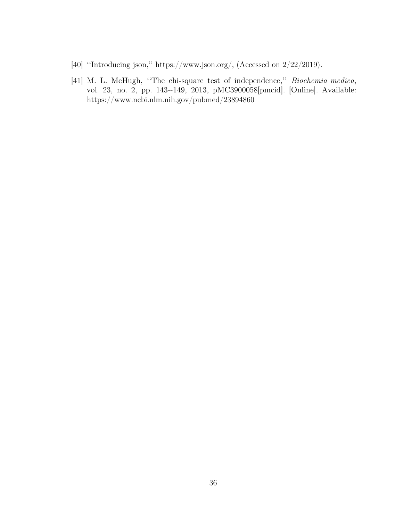- <span id="page-46-0"></span>[40] "Introducing json," [https://www.json.org/,](https://www.json.org/) (Accessed on 2/22/2019).
- <span id="page-46-1"></span>[41] M. L. McHugh, "The chi-square test of independence," Biochemia medica, vol. 23, no. 2, pp. 143--149, 2013, pMC3900058[pmcid]. [Online]. Available: <https://www.ncbi.nlm.nih.gov/pubmed/23894860>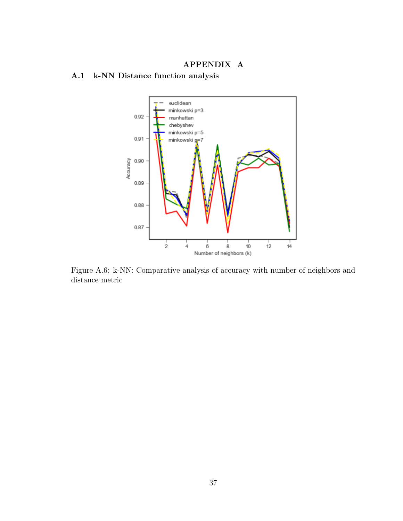# APPENDIX A

<span id="page-47-2"></span><span id="page-47-1"></span><span id="page-47-0"></span>A.1 k-NN Distance function analysis



Figure A.6: k-NN: Comparative analysis of accuracy with number of neighbors and distance metric